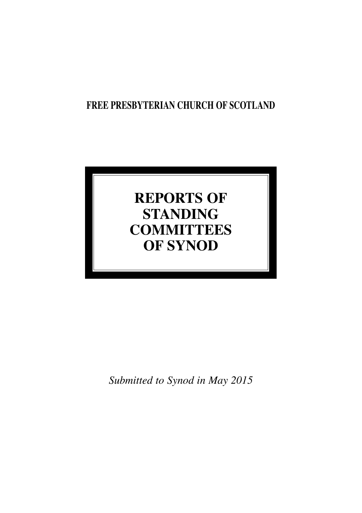# **FREE PRESBYTERIAN CHURCH OF SCOTLAND**

# **REPORTS OF STANDING COMMITTEES OF SYNOD**

*Submitted to Synod in May 2015*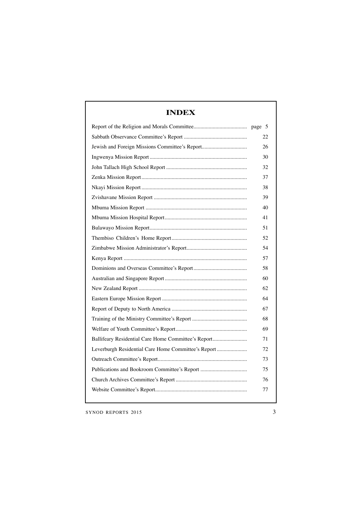| <b>INDEX</b>                                        |    |  |  |  |
|-----------------------------------------------------|----|--|--|--|
|                                                     |    |  |  |  |
|                                                     | 22 |  |  |  |
| Jewish and Foreign Missions Committee's Report      | 26 |  |  |  |
|                                                     | 30 |  |  |  |
|                                                     | 32 |  |  |  |
|                                                     | 37 |  |  |  |
|                                                     | 38 |  |  |  |
|                                                     | 39 |  |  |  |
|                                                     | 40 |  |  |  |
|                                                     | 41 |  |  |  |
|                                                     | 51 |  |  |  |
|                                                     | 52 |  |  |  |
|                                                     | 54 |  |  |  |
|                                                     | 57 |  |  |  |
|                                                     | 58 |  |  |  |
|                                                     | 60 |  |  |  |
|                                                     | 62 |  |  |  |
|                                                     | 64 |  |  |  |
|                                                     | 67 |  |  |  |
|                                                     | 68 |  |  |  |
|                                                     | 69 |  |  |  |
| Ballifeary Residential Care Home Committee's Report | 71 |  |  |  |
| Leverburgh Residential Care Home Committee's Report | 72 |  |  |  |
|                                                     | 73 |  |  |  |
|                                                     | 75 |  |  |  |
|                                                     | 76 |  |  |  |
|                                                     | 77 |  |  |  |
|                                                     |    |  |  |  |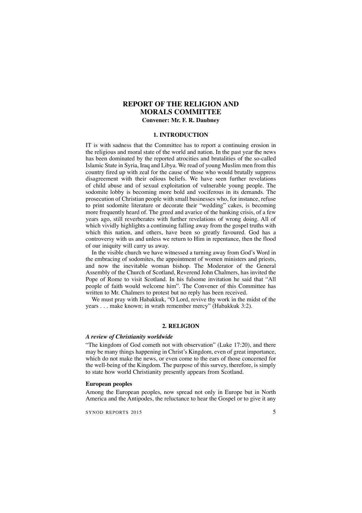# **REPORT OF THE RELIGION AND MORALS COMMITTEE Convener: Mr. F. R. Daubney**

#### **1. INTRODUCTION**

IT is with sadness that the Committee has to report a continuing erosion in the religious and moral state of the world and nation. In the past year the news has been dominated by the reported atrocities and brutalities of the so-called Islamic State in Syria, Iraq and Libya. We read of young Muslim men from this country fired up with zeal for the cause of those who would brutally suppress disagreement with their odious beliefs. We have seen further revelations of child abuse and of sexual exploitation of vulnerable young people. The sodomite lobby is becoming more bold and vociferous in its demands. The prosecution of Christian people with small businesses who, for instance, refuse to print sodomite literature or decorate their "wedding" cakes, is becoming more frequently heard of. The greed and avarice of the banking crisis, of a few years ago, still reverberates with further revelations of wrong doing. All of which vividly highlights a continuing falling away from the gospel truths with which this nation, and others, have been so greatly favoured. God has a controversy with us and unless we return to Him in repentance, then the flood of our iniquity will carry us away.

In the visible church we have witnessed a turning away from God's Word in the embracing of sodomites, the appointment of women ministers and priests, and now the inevitable woman bishop. The Moderator of the General Assembly of the Church of Scotland, Reverend John Chalmers, has invited the Pope of Rome to visit Scotland. In his fulsome invitation he said that "All people of faith would welcome him". The Convener of this Committee has written to Mr. Chalmers to protest but no reply has been received.

We must pray with Habakkuk, "O Lord, revive thy work in the midst of the years . . . make known; in wrath remember mercy" (Habakkuk 3:2).

### **2. RELIGION**

#### *A review of Christianity worldwide*

"The kingdom of God cometh not with observation" (Luke 17:20), and there may be many things happening in Christ's Kingdom, even of great importance, which do not make the news, or even come to the ears of those concerned for the well-being of the Kingdom. The purpose of this survey, therefore, is simply to state how world Christianity presently appears from Scotland.

### **European peoples**

Among the European peoples, now spread not only in Europe but in North America and the Antipodes, the reluctance to hear the Gospel or to give it any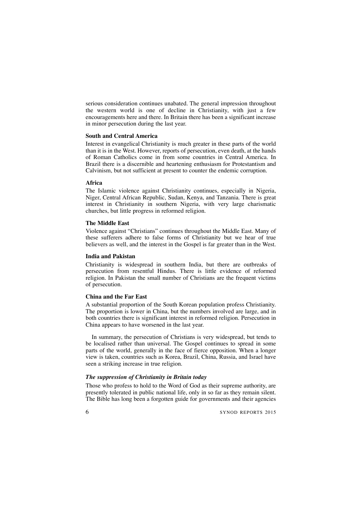serious consideration continues unabated. The general impression throughout the western world is one of decline in Christianity, with just a few encouragements here and there. In Britain there has been a significant increase in minor persecution during the last year.

# **South and Central America**

Interest in evangelical Christianity is much greater in these parts of the world than it is in the West. However, reports of persecution, even death, at the hands of Roman Catholics come in from some countries in Central America. In Brazil there is a discernible and heartening enthusiasm for Protestantism and Calvinism, but not sufficient at present to counter the endemic corruption.

# **Africa**

The Islamic violence against Christianity continues, especially in Nigeria, Niger, Central African Republic, Sudan, Kenya, and Tanzania. There is great interest in Christianity in southern Nigeria, with very large charismatic churches, but little progress in reformed religion.

### **The Middle East**

Violence against "Christians" continues throughout the Middle East. Many of these sufferers adhere to false forms of Christianity but we hear of true believers as well, and the interest in the Gospel is far greater than in the West.

# **India and Pakistan**

Christianity is widespread in southern India, but there are outbreaks of persecution from resentful Hindus. There is little evidence of reformed religion. In Pakistan the small number of Christians are the frequent victims of persecution.

#### **China and the Far East**

A substantial proportion of the South Korean population profess Christianity. The proportion is lower in China, but the numbers involved are large, and in both countries there is significant interest in reformed religion. Persecution in China appears to have worsened in the last year.

In summary, the persecution of Christians is very widespread, but tends to be localised rather than universal. The Gospel continues to spread in some parts of the world, generally in the face of fierce opposition. When a longer view is taken, countries such as Korea, Brazil, China, Russia, and Israel have seen a striking increase in true religion.

# *The suppression of Christianity in Britain today*

Those who profess to hold to the Word of God as their supreme authority, are presently tolerated in public national life, only in so far as they remain silent. The Bible has long been a forgotten guide for governments and their agencies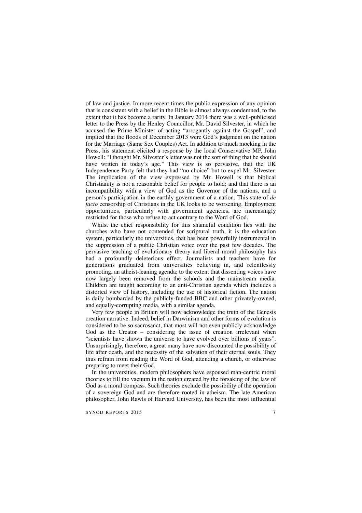of law and justice. In more recent times the public expression of any opinion that is consistent with a belief in the Bible is almost always condemned, to the extent that it has become a rarity. In January 2014 there was a well-publicised letter to the Press by the Henley Councillor, Mr. David Silvester, in which he accused the Prime Minister of acting "arrogantly against the Gospel", and implied that the floods of December 2013 were God's judgment on the nation for the Marriage (Same Sex Couples) Act. In addition to much mocking in the Press, his statement elicited a response by the local Conservative MP, John Howell: "I thought Mr. Silvester's letter was not the sort of thing that he should have written in today's age." This view is so pervasive, that the UK Independence Party felt that they had "no choice" but to expel Mr. Silvester. The implication of the view expressed by Mr. Howell is that biblical Christianity is not a reasonable belief for people to hold; and that there is an incompatibility with a view of God as the Governor of the nations, and a person's participation in the earthly government of a nation. This state of *de facto* censorship of Christians in the UK looks to be worsening. Employment opportunities, particularly with government agencies, are increasingly restricted for those who refuse to act contrary to the Word of God.

Whilst the chief responsibility for this shameful condition lies with the churches who have not contended for scriptural truth, it is the education system, particularly the universities, that has been powerfully instrumental in the suppression of a public Christian voice over the past few decades. The pervasive teaching of evolutionary theory and liberal moral philosophy has had a profoundly deleterious effect. Journalists and teachers have for generations graduated from universities believing in, and relentlessly promoting, an atheist-leaning agenda; to the extent that dissenting voices have now largely been removed from the schools and the mainstream media. Children are taught according to an anti-Christian agenda which includes a distorted view of history, including the use of historical fiction. The nation is daily bombarded by the publicly-funded BBC and other privately-owned, and equally-corrupting media, with a similar agenda.

Very few people in Britain will now acknowledge the truth of the Genesis creation narrative. Indeed, belief in Darwinism and other forms of evolution is considered to be so sacrosanct, that most will not even publicly acknowledge God as the Creator – considering the issue of creation irrelevant when "scientists have shown the universe to have evolved over billions of years". Unsurprisingly, therefore, a great many have now discounted the possibility of life after death, and the necessity of the salvation of their eternal souls. They thus refrain from reading the Word of God, attending a church, or otherwise preparing to meet their God.

In the universities, modern philosophers have espoused man-centric moral theories to fill the vacuum in the nation created by the forsaking of the law of God as a moral compass. Such theories exclude the possibility of the operation of a sovereign God and are therefore rooted in atheism. The late American philosopher, John Rawls of Harvard University, has been the most influential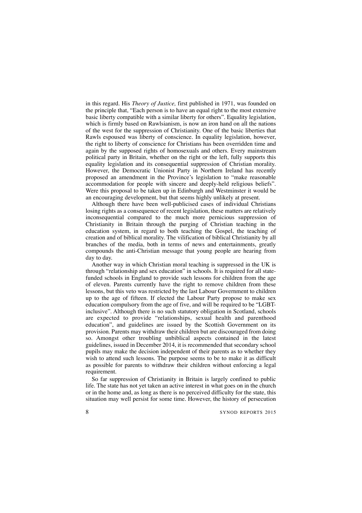in this regard. His *Theory of Justice,* first published in 1971, was founded on the principle that, "Each person is to have an equal right to the most extensive basic liberty compatible with a similar liberty for others". Equality legislation, which is firmly based on Rawlsianism, is now an iron hand on all the nations of the west for the suppression of Christianity. One of the basic liberties that Rawls espoused was liberty of conscience. In equality legislation, however, the right to liberty of conscience for Christians has been overridden time and again by the supposed rights of homosexuals and others. Every mainstream political party in Britain, whether on the right or the left, fully supports this equality legislation and its consequential suppression of Christian morality. However, the Democratic Unionist Party in Northern Ireland has recently proposed an amendment in the Province's legislation to "make reasonable accommodation for people with sincere and deeply-held religious beliefs". Were this proposal to be taken up in Edinburgh and Westminster it would be an encouraging development, but that seems highly unlikely at present.

Although there have been well-publicised cases of individual Christians losing rights as a consequence of recent legislation, these matters are relatively inconsequential compared to the much more pernicious suppression of Christianity in Britain through the purging of Christian teaching in the education system, in regard to both teaching the Gospel, the teaching of creation and of biblical morality. The vilification of biblical Christianity by all branches of the media, both in terms of news and entertainments, greatly compounds the anti-Christian message that young people are hearing from day to day.

Another way in which Christian moral teaching is suppressed in the UK is through "relationship and sex education" in schools. It is required for all statefunded schools in England to provide such lessons for children from the age of eleven. Parents currently have the right to remove children from these lessons, but this veto was restricted by the last Labour Government to children up to the age of fifteen. If elected the Labour Party propose to make sex education compulsory from the age of five, and will be required to be "LGBTinclusive". Although there is no such statutory obligation in Scotland, schools are expected to provide "relationships, sexual health and parenthood education", and guidelines are issued by the Scottish Government on its provision. Parents may withdraw their children but are discouraged from doing so. Amongst other troubling unbiblical aspects contained in the latest guidelines, issued in December 2014, it is recommended that secondary school pupils may make the decision independent of their parents as to whether they wish to attend such lessons. The purpose seems to be to make it as difficult as possible for parents to withdraw their children without enforcing a legal requirement.

So far suppression of Christianity in Britain is largely confined to public life. The state has not yet taken an active interest in what goes on in the church or in the home and, as long as there is no perceived difficulty for the state, this situation may well persist for some time. However, the history of persecution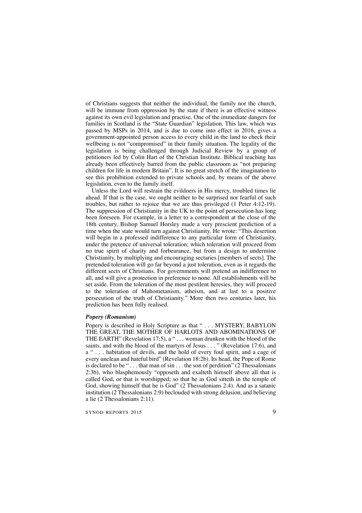of Christians suggests that neither the individual, the family nor the church, will be immune from oppression by the state if there is an effective witness against its own evil legislation and practise. One of the immediate dangers for families in Scotland is the "State Guardian" legislation. This law, which was passed by MSPs in 2014, and is due to come into effect in 2016, gives a government-appointed person access to every child in the land to check their wellbeing is not "compromised" in their family situation. The legality of the legislation is being challenged through Judicial Review by a group of petitioners led by Colin Hart of the Christian Institute. Biblical teaching has already been effectively barred from the public classroom as "not preparing children for life in modern Britain". It is no great stretch of the imagination to see this prohibition extended to private schools and, by means of the above legislation, even to the family itself.

Unless the Lord will restrain the evildoers in His mercy, troubled times lie ahead. If that is the case, we ought neither to be surprised nor fearful of such troubles, but rather to rejoice that we are thus privileged (1 Peter 4:12-19). The suppression of Christianity in the UK to the point of persecution has long been foreseen. For example, in a letter to a correspondent at the close of the 18th century, Bishop Samuel Horsley made a very prescient prediction of a time when the state would turn against Christianity. He wrote: "This desertion will begin in a professed indifference to any particular form of Christianity, under the pretence of universal toleration; which toleration will proceed from no true spirit of charity and forbearance, but from a design to undermine Christianity, by multiplying and encouraging sectaries [members of sects]. The pretended toleration will go far beyond a just toleration, even as it regards the different sects of Christians. For governments will pretend an indifference to all, and will give a protection in preference to none. All establishments will be set aside. From the toleration of the most pestilent heresies, they will proceed to the toleration of Mahometanism, atheism, and at last to a positive persecution of the truth of Christianity." More then two centuries later, his prediction has been fully realised.

### *Popery (Romanism)*

Popery is described in Holy Scripture as that " . . . MYSTERY, BABYLON THE GREAT, THE MOTHER OF HARLOTS AND ABOMINATIONS OF THE EARTH" (Revelation 17:5), a " . . . woman drunken with the blood of the saints, and with the blood of the martyrs of Jesus . . . " (Revelation 17:6), and a " . . . habitation of devils, and the hold of every foul spirit, and a cage of every unclean and hateful bird" (Revelation 18:2b). Its head, the Pope of Rome is declared to be " $\dots$  that man of sin  $\dots$  the son of perdition" (2 Thessalonians 2:3b), who blasphemously "opposeth and exalteth himself above all that is called God, or that is worshipped; so that he as God sitteth in the temple of God, showing himself that he is God" (2 Thessalonians 2:4). And as a satanic institution (2 Thessalonians 2:9) beclouded with strong delusion, and believing a lie (2 Thessalonians 2:11).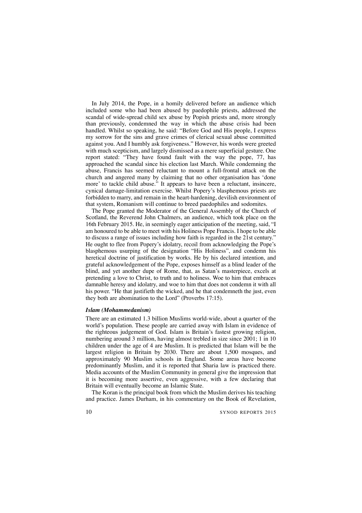In July 2014, the Pope, in a homily delivered before an audience which included some who had been abused by paedophile priests, addressed the scandal of wide-spread child sex abuse by Popish priests and, more strongly than previously, condemned the way in which the abuse crisis had been handled. Whilst so speaking, he said: "Before God and His people, I express my sorrow for the sins and grave crimes of clerical sexual abuse committed against you. And I humbly ask forgiveness." However, his words were greeted with much scepticism, and largely dismissed as a mere superficial gesture. One report stated: "They have found fault with the way the pope, 77, has approached the scandal since his election last March. While condemning the abuse, Francis has seemed reluctant to mount a full-frontal attack on the church and angered many by claiming that no other organisation has 'done more' to tackle child abuse." It appears to have been a reluctant, insincere, cynical damage-limitation exercise. Whilst Popery's blasphemous priests are forbidden to marry, and remain in the heart-hardening, devilish environment of that system, Romanism will continue to breed paedophiles and sodomites.

The Pope granted the Moderator of the General Assembly of the Church of Scotland, the Reverend John Chalmers, an audience, which took place on the 16th February 2015. He, in seemingly eager anticipation of the meeting, said, "I am honoured to be able to meet with his Holiness Pope Francis. I hope to be able to discuss a range of issues including how faith is regarded in the 21st century." He ought to flee from Popery's idolatry, recoil from acknowledging the Pope's blasphemous usurping of the designation "His Holiness", and condemn his heretical doctrine of justification by works. He by his declared intention, and grateful acknowledgement of the Pope, exposes himself as a blind leader of the blind, and yet another dupe of Rome, that, as Satan's masterpiece, excels at pretending a love to Christ, to truth and to holiness. Woe to him that embraces damnable heresy and idolatry, and woe to him that does not condemn it with all his power. "He that justifieth the wicked, and he that condemneth the just, even they both are abomination to the Lord" (Proverbs 17:15).

# *Islam (Mohammedanism)*

There are an estimated 1.3 billion Muslims world-wide, about a quarter of the world's population. These people are carried away with Islam in evidence of the righteous judgement of God. Islam is Britain's fastest growing religion, numbering around 3 million, having almost trebled in size since 2001; 1 in 10 children under the age of 4 are Muslim. It is predicted that Islam will be the largest religion in Britain by 2030. There are about 1,500 mosques, and approximately 90 Muslim schools in England. Some areas have become predominantly Muslim, and it is reported that Sharia law is practiced there. Media accounts of the Muslim Community in general give the impression that it is becoming more assertive, even aggressive, with a few declaring that Britain will eventually become an Islamic State.

The Koran is the principal book from which the Muslim derives his teaching and practice. James Durham, in his commentary on the Book of Revelation,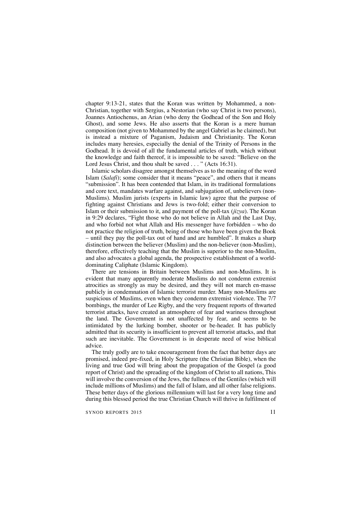chapter 9:13-21, states that the Koran was written by Mohammed, a non-Christian, together with Sergius, a Nestorian (who say Christ is two persons), Joannes Antiochenus, an Arian (who deny the Godhead of the Son and Holy Ghost), and some Jews. He also asserts that the Koran is a mere human composition (not given to Mohammed by the angel Gabriel as he claimed), but is instead a mixture of Paganism, Judaism and Christianity. The Koran includes many heresies, especially the denial of the Trinity of Persons in the Godhead. It is devoid of all the fundamental articles of truth, which without the knowledge and faith thereof, it is impossible to be saved: "Believe on the Lord Jesus Christ, and thou shalt be saved . . . " (Acts 16:31).

Islamic scholars disagree amongst themselves as to the meaning of the word Islam (*Salafi*); some consider that it means "peace", and others that it means "submission". It has been contended that Islam, in its traditional formulations and core text, mandates warfare against, and subjugation of, unbelievers (non-Muslims). Muslim jurists (experts in Islamic law) agree that the purpose of fighting against Christians and Jews is two-fold; either their conversion to Islam or their submission to it, and payment of the poll-tax (*jizya*). The Koran in 9:29 declares, "Fight those who do not believe in Allah and the Last Day, and who forbid not what Allah and His messenger have forbidden – who do not practice the religion of truth, being of those who have been given the Book – until they pay the poll-tax out of hand and are humbled". It makes a sharp distinction between the believer (Muslim) and the non-believer (non-Muslim), therefore, effectively teaching that the Muslim is superior to the non-Muslim, and also advocates a global agenda, the prospective establishment of a worlddominating Caliphate (Islamic Kingdom).

There are tensions in Britain between Muslims and non-Muslims. It is evident that many apparently moderate Muslims do not condemn extremist atrocities as strongly as may be desired, and they will not march en-masse publicly in condemnation of Islamic terrorist murder. Many non-Muslims are suspicious of Muslims, even when they condemn extremist violence. The 7/7 bombings, the murder of Lee Rigby, and the very frequent reports of thwarted terrorist attacks, have created an atmosphere of fear and wariness throughout the land. The Government is not unaffected by fear, and seems to be intimidated by the lurking bomber, shooter or be-header. It has publicly admitted that its security is insufficient to prevent all terrorist attacks, and that such are inevitable. The Government is in desperate need of wise biblical advice.

The truly godly are to take encouragement from the fact that better days are promised, indeed pre-fixed, in Holy Scripture (the Christian Bible), when the living and true God will bring about the propagation of the Gospel (a good report of Christ) and the spreading of the kingdom of Christ to all nations, This will involve the conversion of the Jews, the fullness of the Gentiles (which will include millions of Muslims) and the fall of Islam, and all other false religions. These better days of the glorious millennium will last for a very long time and during this blessed period the true Christian Church will thrive in fulfilment of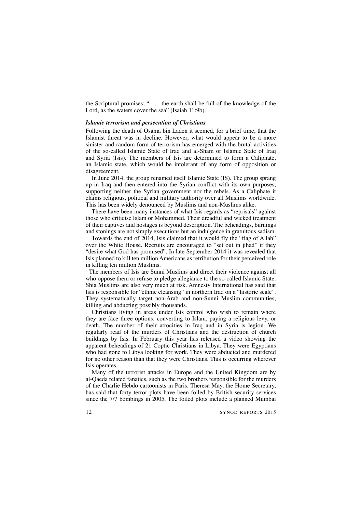the Scriptural promises; " . . . the earth shall be full of the knowledge of the Lord, as the waters cover the sea" (Isaiah 11:9b).

### *Islamic terrorism and persecution of Christians*

Following the death of Osama bin Laden it seemed, for a brief time, that the Islamist threat was in decline. However, what would appear to be a more sinister and random form of terrorism has emerged with the brutal activities of the so-called Islamic State of Iraq and al-Sham or Islamic State of Iraq and Syria (Isis). The members of Isis are determined to form a Caliphate, an Islamic state, which would be intolerant of any form of opposition or disagreement.

In June 2014, the group renamed itself Islamic State (IS). The group sprang up in Iraq and then entered into the Syrian conflict with its own purposes, supporting neither the Syrian government nor the rebels. As a Caliphate it claims religious, political and military authority over all Muslims worldwide. This has been widely denounced by Muslims and non-Muslims alike.

There have been many instances of what Isis regards as "reprisals" against those who criticise Islam or Mohammed. Their dreadful and wicked treatment of their captives and hostages is beyond description. The beheadings, burnings and stonings are not simply executions but an indulgence in gratuitous sadism.

Towards the end of 2014, Isis claimed that it would fly the "flag of Allah" over the White House. Recruits are encouraged to "set out in jihad" if they "desire what God has promised". In late September 2014 it was revealed that Isis planned to kill ten million Americans as retribution for their perceived role in killing ten million Muslims.

The members of Isis are Sunni Muslims and direct their violence against all who oppose them or refuse to pledge allegiance to the so-called Islamic State. Shia Muslims are also very much at risk. Amnesty International has said that Isis is responsible for "ethnic cleansing" in northern Iraq on a "historic scale". They systematically target non-Arab and non-Sunni Muslim communities, killing and abducting possibly thousands.

Christians living in areas under Isis control who wish to remain where they are face three options: converting to Islam, paying a religious levy, or death. The number of their atrocities in Iraq and in Syria is legion. We regularly read of the murders of Christians and the destruction of church buildings by Isis. In February this year Isis released a video showing the apparent beheadings of 21 Coptic Christians in Libya. They were Egyptians who had gone to Libya looking for work. They were abducted and murdered for no other reason than that they were Christians. This is occurring wherever Isis operates.

Many of the terrorist attacks in Europe and the United Kingdom are by al-Qaeda related fanatics, such as the two brothers responsible for the murders of the Charlie Hebdo cartoonists in Paris. Theresa May, the Home Secretary, has said that forty terror plots have been foiled by British security services since the 7/7 bombings in 2005. The foiled plots include a planned Mumbai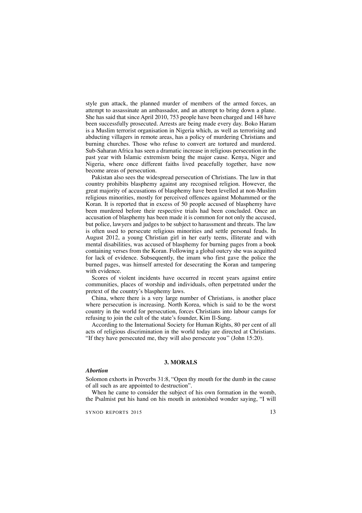style gun attack, the planned murder of members of the armed forces, an attempt to assassinate an ambassador, and an attempt to bring down a plane. She has said that since April 2010, 753 people have been charged and 148 have been successfully prosecuted. Arrests are being made every day. Boko Haram is a Muslim terrorist organisation in Nigeria which, as well as terrorising and abducting villagers in remote areas, has a policy of murdering Christians and burning churches. Those who refuse to convert are tortured and murdered. Sub-Saharan Africa has seen a dramatic increase in religious persecution in the past year with Islamic extremism being the major cause. Kenya, Niger and Nigeria, where once different faiths lived peacefully together, have now become areas of persecution.

Pakistan also sees the widespread persecution of Christians. The law in that country prohibits blasphemy against any recognised religion. However, the great majority of accusations of blasphemy have been levelled at non-Muslim religious minorities, mostly for perceived offences against Mohammed or the Koran. It is reported that in excess of 50 people accused of blasphemy have been murdered before their respective trials had been concluded. Once an accusation of blasphemy has been made it is common for not only the accused, but police, lawyers and judges to be subject to harassment and threats. The law is often used to persecute religious minorities and settle personal feuds. In August 2012, a young Christian girl in her early teens, illiterate and with mental disabilities, was accused of blasphemy for burning pages from a book containing verses from the Koran. Following a global outcry she was acquitted for lack of evidence. Subsequently, the imam who first gave the police the burned pages, was himself arrested for desecrating the Koran and tampering with evidence.

Scores of violent incidents have occurred in recent years against entire communities, places of worship and individuals, often perpetrated under the pretext of the country's blasphemy laws.

China, where there is a very large number of Christians, is another place where persecution is increasing. North Korea, which is said to be the worst country in the world for persecution, forces Christians into labour camps for refusing to join the cult of the state's founder, Kim Il-Sung.

According to the International Society for Human Rights, 80 per cent of all acts of religious discrimination in the world today are directed at Christians. "If they have persecuted me, they will also persecute you'' (John 15:20).

# **3. MORALS**

#### *Abortion*

Solomon exhorts in Proverbs 31:8, "Open thy mouth for the dumb in the cause of all such as are appointed to destruction".

When he came to consider the subject of his own formation in the womb, the Psalmist put his hand on his mouth in astonished wonder saying, "I will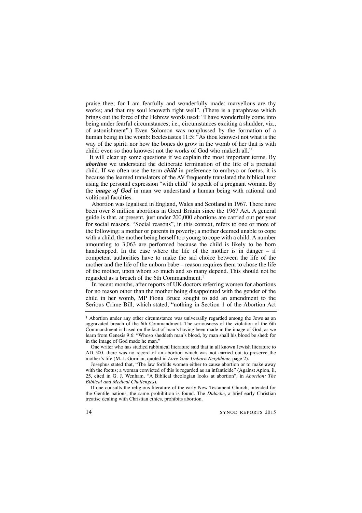praise thee; for I am fearfully and wonderfully made: marvellous are thy works; and that my soul knoweth right well". (There is a paraphrase which brings out the force of the Hebrew words used: "I have wonderfully come into being under fearful circumstances; i.e., circumstances exciting a shudder, viz., of astonishment".) Even Solomon was nonplussed by the formation of a human being in the womb: Ecclesiastes 11:5: "As thou knowest not what is the way of the spirit, nor how the bones do grow in the womb of her that is with child: even so thou knowest not the works of God who maketh all."

It will clear up some questions if we explain the most important terms. By *abortion* we understand the deliberate termination of the life of a prenatal child. If we often use the term *child* in preference to embryo or foetus, it is because the learned translators of the AV frequently translated the biblical text using the personal expression "with child" to speak of a pregnant woman. By the *image of God* in man we understand a human being with rational and volitional faculties.

Abortion was legalised in England, Wales and Scotland in 1967. There have been over 8 million abortions in Great Britain since the 1967 Act. A general guide is that, at present, just under 200,000 abortions are carried out per year for social reasons. "Social reasons", in this context, refers to one or more of the following: a mother or parents in poverty; a mother deemed unable to cope with a child, the mother being herself too young to cope with a child. A number amounting to 3,063 are performed because the child is likely to be born handicapped. In the case where the life of the mother is in danger – if competent authorities have to make the sad choice between the life of the mother and the life of the unborn babe – reason requires them to chose the life of the mother, upon whom so much and so many depend. This should not be regarded as a breach of the 6th Commandment.1

In recent months, after reports of UK doctors referring women for abortions for no reason other than the mother being disappointed with the gender of the child in her womb, MP Fiona Bruce sought to add an amendment to the Serious Crime Bill, which stated, "nothing in Section 1 of the Abortion Act

<sup>1</sup> Abortion under any other circumstance was universally regarded among the Jews as an aggravated breach of the 6th Commandment. The seriousness of the violation of the 6th Commandment is based on the fact of man's having been made in the image of God, as we learn from Genesis 9:6: "Whoso sheddeth man's blood, by man shall his blood be shed: for in the image of God made he man."

One writer who has studied rabbinical literature said that in all known Jewish literature to AD 500, there was no record of an abortion which was not carried out to preserve the mother's life (M. J. Gorman, quoted in *Love Your Unborn Neighbour,* page 2).

Josephus stated that, "The law forbids women either to cause abortion or to make away with the foetus; a woman convicted of this is regarded as an infanticide" (Against Apion, ii, 25, cited in G. J. Wenham, "A Biblical theologian looks at abortion", in *Abortion: The Biblical and Medical Challenges*).

If one consults the religious literature of the early New Testament Church, intended for the Gentile nations, the same prohibition is found. The *Didache*, a brief early Christian treatise dealing with Christian ethics, prohibits abortion.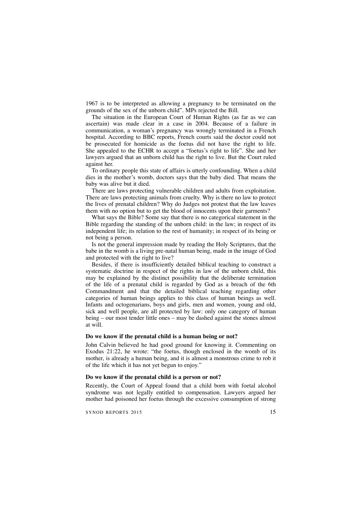1967 is to be interpreted as allowing a pregnancy to be terminated on the grounds of the sex of the unborn child". MPs rejected the Bill.

The situation in the European Court of Human Rights (as far as we can ascertain) was made clear in a case in 2004. Because of a failure in communication, a woman's pregnancy was wrongly terminated in a French hospital. According to BBC reports, French courts said the doctor could not be prosecuted for homicide as the foetus did not have the right to life. She appealed to the ECHR to accept a "foetus's right to life". She and her lawyers argued that an unborn child has the right to live. But the Court ruled against her.

To ordinary people this state of affairs is utterly confounding. When a child dies in the mother's womb, doctors says that the baby died. That means the baby was alive but it died.

There are laws protecting vulnerable children and adults from exploitation. There are laws protecting animals from cruelty. Why is there no law to protect the lives of prenatal children? Why do Judges not protest that the law leaves them with no option but to get the blood of innocents upon their garments?

What says the Bible? Some say that there is no categorical statement in the Bible regarding the standing of the unborn child: in the law; in respect of its independent life; its relation to the rest of humanity; in respect of its being or not being a person.

Is not the general impression made by reading the Holy Scriptures, that the babe in the womb is a living pre-natal human being, made in the image of God and protected with the right to live?

Besides, if there is insufficiently detailed biblical teaching to construct a systematic doctrine in respect of the rights in law of the unborn child, this may be explained by the distinct possibility that the deliberate termination of the life of a prenatal child is regarded by God as a breach of the 6th Commandment and that the detailed biblical teaching regarding other categories of human beings applies to this class of human beings as well. Infants and octogenarians, boys and girls, men and women, young and old, sick and well people, are all protected by law: only one category of human being – our most tender little ones – may be dashed against the stones almost at will.

# **Do we know if the prenatal child is a human being or not?**

John Calvin believed he had good ground for knowing it. Commenting on Exodus 21:22, he wrote: "the foetus, though enclosed in the womb of its mother, is already a human being, and it is almost a monstrous crime to rob it of the life which it has not yet begun to enjoy."

#### **Do we know if the prenatal child is a person or not?**

Recently, the Court of Appeal found that a child born with foetal alcohol syndrome was not legally entitled to compensation. Lawyers argued her mother had poisoned her foetus through the excessive consumption of strong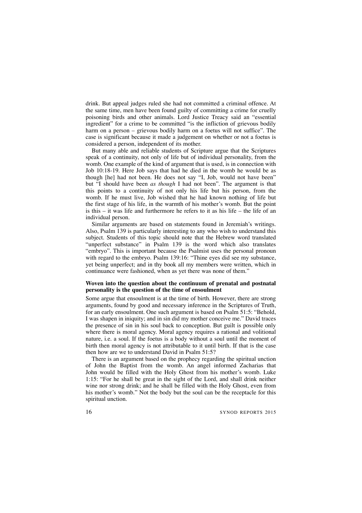drink. But appeal judges ruled she had not committed a criminal offence. At the same time, men have been found guilty of committing a crime for cruelly poisoning birds and other animals. Lord Justice Treacy said an "essential ingredient" for a crime to be committed "is the infliction of grievous bodily harm on a person – grievous bodily harm on a foetus will not suffice". The case is significant because it made a judgement on whether or not a foetus is considered a person, independent of its mother.

But many able and reliable students of Scripture argue that the Scriptures speak of a continuity, not only of life but of individual personality, from the womb. One example of the kind of argument that is used, is in connection with Job 10:18-19. Here Job says that had he died in the womb he would be as though [he] had not been. He does not say "I, Job, would not have been" but "I should have been *as though* I had not been". The argument is that this points to a continuity of not only his life but his person, from the womb. If he must live, Job wished that he had known nothing of life but the first stage of his life, in the warmth of his mother's womb. But the point is this  $-$  it was life and furthermore he refers to it as his life  $-$  the life of an individual person.

Similar arguments are based on statements found in Jeremiah's writings. Also, Psalm 139 is particularly interesting to any who wish to understand this subject. Students of this topic should note that the Hebrew word translated "unperfect substance" in Psalm 139 is the word which also translates "embryo". This is important because the Psalmist uses the personal pronoun with regard to the embryo. Psalm 139:16: "Thine eyes did see my substance, yet being unperfect; and in thy book all my members were written, which in continuance were fashioned, when as yet there was none of them."

# **Woven into the question about the continuum of prenatal and postnatal personality is the question of the time of ensoulment**

Some argue that ensoulment is at the time of birth. However, there are strong arguments, found by good and necessary inference in the Scriptures of Truth, for an early ensoulment. One such argument is based on Psalm 51:5: "Behold, I was shapen in iniquity; and in sin did my mother conceive me." David traces the presence of sin in his soul back to conception. But guilt is possible only where there is moral agency. Moral agency requires a rational and volitional nature, i.e. a soul. If the foetus is a body without a soul until the moment of birth then moral agency is not attributable to it until birth. If that is the case then how are we to understand David in Psalm 51:5?

There is an argument based on the prophecy regarding the spiritual unction of John the Baptist from the womb. An angel informed Zacharias that John would be filled with the Holy Ghost from his mother's womb. Luke 1:15: "For he shall be great in the sight of the Lord, and shall drink neither wine nor strong drink; and he shall be filled with the Holy Ghost, even from his mother's womb." Not the body but the soul can be the receptacle for this spiritual unction.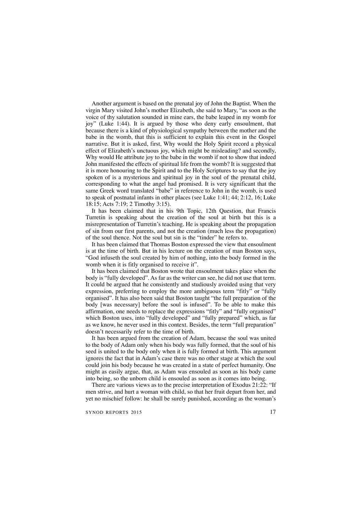Another argument is based on the prenatal joy of John the Baptist. When the virgin Mary visited John's mother Elizabeth, she said to Mary, "as soon as the voice of thy salutation sounded in mine ears, the babe leaped in my womb for joy" (Luke 1:44). It is argued by those who deny early ensoulment, that because there is a kind of physiological sympathy between the mother and the babe in the womb, that this is sufficient to explain this event in the Gospel narrative. But it is asked, first, Why would the Holy Spirit record a physical effect of Elizabeth's unctuous joy, which might be misleading? and secondly, Why would He attribute joy to the babe in the womb if not to show that indeed John manifested the effects of spiritual life from the womb? It is suggested that it is more honouring to the Spirit and to the Holy Scriptures to say that the joy spoken of is a mysterious and spiritual joy in the soul of the prenatal child, corresponding to what the angel had promised. It is very significant that the same Greek word translated "babe" in reference to John in the womb, is used to speak of postnatal infants in other places (see Luke 1:41; 44; 2:12, 16; Luke 18:15; Acts 7:19; 2 Timothy 3:15).

It has been claimed that in his 9th Topic, 12th Question, that Francis Turretin is speaking about the creation of the soul at birth but this is a misrepresentation of Turretin's teaching. He is speaking about the propagation of sin from our first parents, and not the creation (much less the propagation) of the soul thence. Not the soul but sin is the "tinder" he refers to.

It has been claimed that Thomas Boston expressed the view that ensoulment is at the time of birth. But in his lecture on the creation of man Boston says, "God infuseth the soul created by him of nothing, into the body formed in the womb when it is fitly organised to receive it".

It has been claimed that Boston wrote that ensoulment takes place when the body is "fully developed". As far as the writer can see, he did not use that term. It could be argued that he consistently and studiously avoided using that very expression, preferring to employ the more ambiguous term "fitly" or "fully organised". It has also been said that Boston taught "the full preparation of the body [was necessary] before the soul is infused". To be able to make this affirmation, one needs to replace the expressions "fitly" and "fully organised" which Boston uses, into "fully developed" and "fully prepared" which, as far as we know, he never used in this context. Besides, the term "full preparation" doesn't necessarily refer to the time of birth.

It has been argued from the creation of Adam, because the soul was united to the body of Adam only when his body was fully formed, that the soul of his seed is united to the body only when it is fully formed at birth. This argument ignores the fact that in Adam's case there was no other stage at which the soul could join his body because he was created in a state of perfect humanity. One might as easily argue, that, as Adam was ensouled as soon as his body came into being, so the unborn child is ensouled as soon as it comes into being.

There are various views as to the precise interpretation of Exodus 21:22: "If men strive, and hurt a woman with child, so that her fruit depart from her, and yet no mischief follow: he shall be surely punished, according as the woman's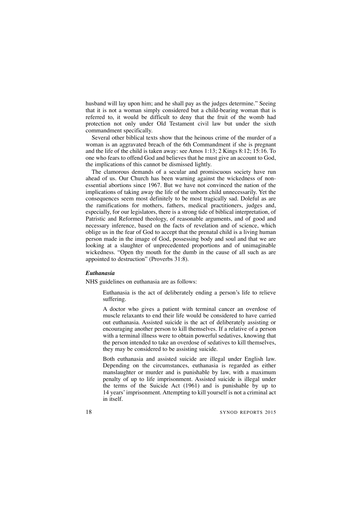husband will lay upon him; and he shall pay as the judges determine." Seeing that it is not a woman simply considered but a child-bearing woman that is referred to, it would be difficult to deny that the fruit of the womb had protection not only under Old Testament civil law but under the sixth commandment specifically.

Several other biblical texts show that the heinous crime of the murder of a woman is an aggravated breach of the 6th Commandment if she is pregnant and the life of the child is taken away: see Amos 1:13; 2 Kings 8:12; 15:16. To one who fears to offend God and believes that he must give an account to God, the implications of this cannot be dismissed lightly.

The clamorous demands of a secular and promiscuous society have run ahead of us. Our Church has been warning against the wickedness of nonessential abortions since 1967. But we have not convinced the nation of the implications of taking away the life of the unborn child unnecessarily. Yet the consequences seem most definitely to be most tragically sad. Doleful as are the ramifications for mothers, fathers, medical practitioners, judges and, especially, for our legislators, there is a strong tide of biblical interpretation, of Patristic and Reformed theology, of reasonable arguments, and of good and necessary inference, based on the facts of revelation and of science, which oblige us in the fear of God to accept that the prenatal child is a living human person made in the image of God, possessing body and soul and that we are looking at a slaughter of unprecedented proportions and of unimaginable wickedness. "Open thy mouth for the dumb in the cause of all such as are appointed to destruction" (Proverbs 31:8).

### *Euthanasia*

NHS guidelines on euthanasia are as follows:

Euthanasia is the act of deliberately ending a person's life to relieve suffering.

A doctor who gives a patient with terminal cancer an overdose of muscle relaxants to end their life would be considered to have carried out euthanasia. Assisted suicide is the act of deliberately assisting or encouraging another person to kill themselves. If a relative of a person with a terminal illness were to obtain powerful sedatives, knowing that the person intended to take an overdose of sedatives to kill themselves, they may be considered to be assisting suicide.

Both euthanasia and assisted suicide are illegal under English law. Depending on the circumstances, euthanasia is regarded as either manslaughter or murder and is punishable by law, with a maximum penalty of up to life imprisonment. Assisted suicide is illegal under the terms of the Suicide Act (1961) and is punishable by up to 14 years'imprisonment. Attempting to kill yourself is not a criminal act in itself.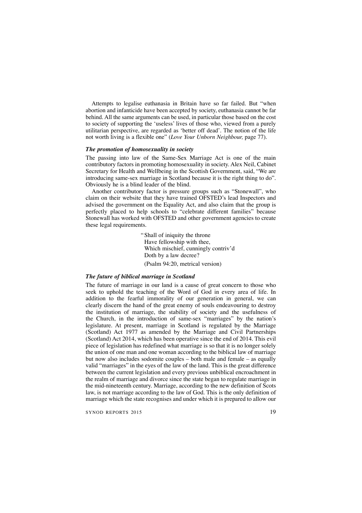Attempts to legalise euthanasia in Britain have so far failed. But "when abortion and infanticide have been accepted by society, euthanasia cannot be far behind. All the same arguments can be used, in particular those based on the cost to society of supporting the 'useless' lives of those who, viewed from a purely utilitarian perspective, are regarded as 'better off dead'. The notion of the life not worth living is a flexible one" (*Love Your Unborn Neighbour,* page 77).

# *The promotion of homosexuality in society*

The passing into law of the Same-Sex Marriage Act is one of the main contributory factors in promoting homosexuality in society. Alex Neil, Cabinet Secretary for Health and Wellbeing in the Scottish Government, said, "We are introducing same-sex marriage in Scotland because it is the right thing to do". Obviously he is a blind leader of the blind.

Another contributory factor is pressure groups such as "Stonewall", who claim on their website that they have trained OFSTED's lead Inspectors and advised the government on the Equality Act, and also claim that the group is perfectly placed to help schools to "celebrate different families" because Stonewall has worked with OFSTED and other government agencies to create these legal requirements.

> "Shall of iniquity the throne Have fellowship with thee, Which mischief, cunningly contriv'd Doth by a law decree? (Psalm 94:20, metrical version)

#### *The future of biblical marriage in Scotland*

The future of marriage in our land is a cause of great concern to those who seek to uphold the teaching of the Word of God in every area of life. In addition to the fearful immorality of our generation in general, we can clearly discern the hand of the great enemy of souls endeavouring to destroy the institution of marriage, the stability of society and the usefulness of the Church, in the introduction of same-sex "marriages" by the nation's legislature. At present, marriage in Scotland is regulated by the Marriage (Scotland) Act 1977 as amended by the Marriage and Civil Partnerships (Scotland) Act 2014, which has been operative since the end of 2014. This evil piece of legislation has redefined what marriage is so that it is no longer solely the union of one man and one woman according to the biblical law of marriage but now also includes sodomite couples – both male and female – as equally valid "marriages" in the eyes of the law of the land. This is the great difference between the current legislation and every previous unbiblical encroachment in the realm of marriage and divorce since the state began to regulate marriage in the mid-nineteenth century. Marriage, according to the new definition of Scots law, is not marriage according to the law of God. This is the only definition of marriage which the state recognises and under which it is prepared to allow our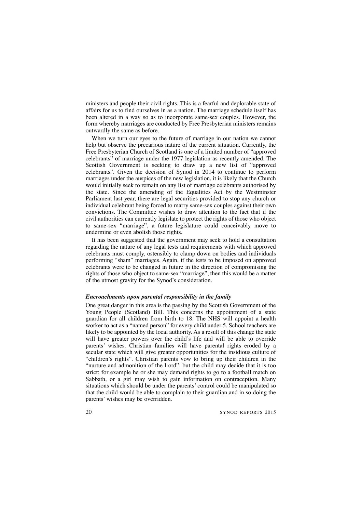ministers and people their civil rights. This is a fearful and deplorable state of affairs for us to find ourselves in as a nation. The marriage schedule itself has been altered in a way so as to incorporate same-sex couples. However, the form whereby marriages are conducted by Free Presbyterian ministers remains outwardly the same as before.

When we turn our eyes to the future of marriage in our nation we cannot help but observe the precarious nature of the current situation. Currently, the Free Presbyterian Church of Scotland is one of a limited number of "approved celebrants" of marriage under the 1977 legislation as recently amended. The Scottish Government is seeking to draw up a new list of "approved celebrants". Given the decision of Synod in 2014 to continue to perform marriages under the auspices of the new legislation, it is likely that the Church would initially seek to remain on any list of marriage celebrants authorised by the state. Since the amending of the Equalities Act by the Westminster Parliament last year, there are legal securities provided to stop any church or individual celebrant being forced to marry same-sex couples against their own convictions. The Committee wishes to draw attention to the fact that if the civil authorities can currently legislate to protect the rights of those who object to same-sex "marriage", a future legislature could conceivably move to undermine or even abolish those rights.

It has been suggested that the government may seek to hold a consultation regarding the nature of any legal tests and requirements with which approved celebrants must comply, ostensibly to clamp down on bodies and individuals performing "sham" marriages. Again, if the tests to be imposed on approved celebrants were to be changed in future in the direction of compromising the rights of those who object to same-sex "marriage", then this would be a matter of the utmost gravity for the Synod's consideration.

#### *Encroachments upon parental responsibility in the family*

One great danger in this area is the passing by the Scottish Government of the Young People (Scotland) Bill. This concerns the appointment of a state guardian for all children from birth to 18. The NHS will appoint a health worker to act as a "named person" for every child under 5. School teachers are likely to be appointed by the local authority. As a result of this change the state will have greater powers over the child's life and will be able to override parents' wishes. Christian families will have parental rights eroded by a secular state which will give greater opportunities for the insidious culture of "children's rights". Christian parents vow to bring up their children in the "nurture and admonition of the Lord", but the child may decide that it is too strict; for example he or she may demand rights to go to a football match on Sabbath, or a girl may wish to gain information on contraception. Many situations which should be under the parents' control could be manipulated so that the child would be able to complain to their guardian and in so doing the parents' wishes may be overridden.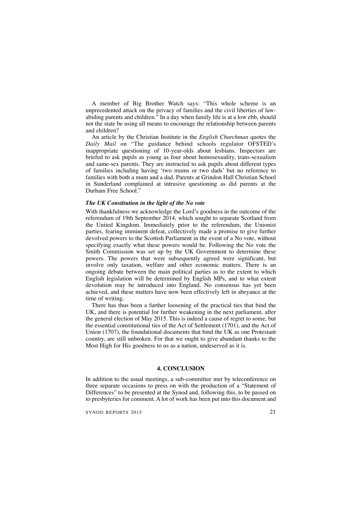A member of Big Brother Watch says: "This whole scheme is an unprecedented attack on the privacy of families and the civil liberties of lawabiding parents and children." In a day when family life is at a low ebb, should not the state be using all means to encourage the relationship between parents and children?

An article by the Christian Institute in the *English Churchman* quotes the *Daily Mail* on "The guidance behind schools regulator OFSTED's inappropriate questioning of 10-year-olds about lesbians. Inspectors are briefed to ask pupils as young as four about homosexuality, trans-sexualism and same-sex parents. They are instructed to ask pupils about different types of families including having 'two mums or two dads' but no reference to families with both a mum and a dad. Parents at Grindon Hall Christian School in Sunderland complained at intrusive questioning as did parents at the Durham Free School."

# *The UK Constitution in the light of the No vote*

With thankfulness we acknowledge the Lord's goodness in the outcome of the referendum of 19th September 2014, which sought to separate Scotland from the United Kingdom. Immediately prior to the referendum, the Unionist parties, fearing imminent defeat, collectively made a promise to give further devolved powers to the Scottish Parliament in the event of a No vote, without specifying exactly what these powers would be. Following the No vote the Smith Commission was set up by the UK Government to determine these powers. The powers that were subsequently agreed were significant, but involve only taxation, welfare and other economic matters. There is an ongoing debate between the main political parties as to the extent to which English legislation will be determined by English MPs, and to what extent devolution may be introduced into England. No consensus has yet been achieved, and these matters have now been effectively left in abeyance at the time of writing.

There has thus been a further loosening of the practical ties that bind the UK, and there is potential for further weakening in the next parliament, after the general election of May 2015. This is indeed a cause of regret to some, but the essential constitutional ties of the Act of Settlement (1701), and the Act of Union (1707), the foundational documents that bind the UK as one Protestant country, are still unbroken. For that we ought to give abundant thanks to the Most High for His goodness to us as a nation, undeserved as it is.

### **4. CONCLUSION**

In addition to the usual meetings, a sub-committee met by teleconference on three separate occasions to press on with the production of a "Statement of Differences" to be presented at the Synod and, following this, to be passed on to presbyteries for comment. A lot of work has been put into this document and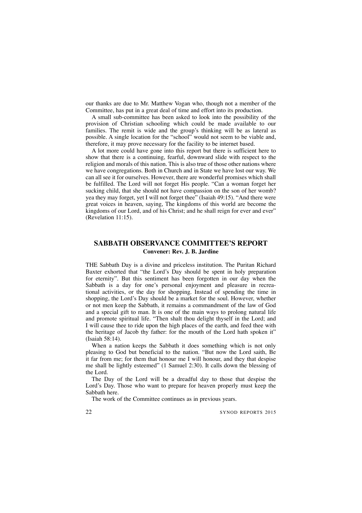our thanks are due to Mr. Matthew Vogan who, though not a member of the Committee, has put in a great deal of time and effort into its production.

A small sub-committee has been asked to look into the possibility of the provision of Christian schooling which could be made available to our families. The remit is wide and the group's thinking will be as lateral as possible. A single location for the "school" would not seem to be viable and, therefore, it may prove necessary for the facility to be internet based.

A lot more could have gone into this report but there is sufficient here to show that there is a continuing, fearful, downward slide with respect to the religion and morals of this nation. This is also true of those other nations where we have congregations. Both in Church and in State we have lost our way. We can all see it for ourselves. However, there are wonderful promises which shall be fulfilled. The Lord will not forget His people. "Can a woman forget her sucking child, that she should not have compassion on the son of her womb? yea they may forget, yet I will not forget thee" (Isaiah 49:15). "And there were great voices in heaven, saying, The kingdoms of this world are become the kingdoms of our Lord, and of his Christ; and he shall reign for ever and ever" (Revelation 11:15).

# **SABBATH OBSERVANCE COMMITTEE'S REPORT Convener: Rev. J. B. Jardine**

THE Sabbath Day is a divine and priceless institution. The Puritan Richard Baxter exhorted that "the Lord's Day should be spent in holy preparation for eternity". But this sentiment has been forgotten in our day when the Sabbath is a day for one's personal enjoyment and pleasure in recreational activities, or the day for shopping. Instead of spending the time in shopping, the Lord's Day should be a market for the soul. However, whether or not men keep the Sabbath, it remains a commandment of the law of God and a special gift to man. It is one of the main ways to prolong natural life and promote spiritual life. "Then shalt thou delight thyself in the Lord; and I will cause thee to ride upon the high places of the earth, and feed thee with the heritage of Jacob thy father: for the mouth of the Lord hath spoken it" (Isaiah 58:14).

When a nation keeps the Sabbath it does something which is not only pleasing to God but beneficial to the nation. "But now the Lord saith, Be it far from me; for them that honour me I will honour, and they that despise me shall be lightly esteemed" (1 Samuel 2:30). It calls down the blessing of the Lord.

The Day of the Lord will be a dreadful day to those that despise the Lord's Day. Those who want to prepare for heaven properly must keep the Sabbath here.

The work of the Committee continues as in previous years.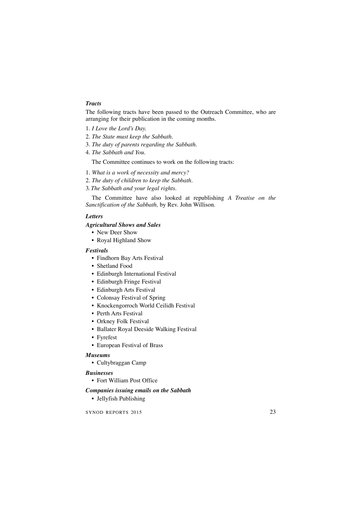# *Tracts*

The following tracts have been passed to the Outreach Committee, who are arranging for their publication in the coming months.

- 1. *I Love the Lord's Day.*
- 2. *The State must keep the Sabbath.*
- 3. *The duty of parents regarding the Sabbath.*
- 4. *The Sabbath and You.*

The Committee continues to work on the following tracts:

- 1. *What is a work of necessity and mercy?*
- 2. *The duty of children to keep the Sabbath.*
- 3. *The Sabbath and your legal rights.*

The Committee have also looked at republishing *A Treatise on the Sanctification of the Sabbath,* by Rev. John Willison.

# *Letters*

# *Agricultural Shows and Sales*

• New Deer Show

• Royal Highland Show

# *Festivals*

- Findhorn Bay Arts Festival
- Shetland Food
- Edinburgh International Festival
- Edinburgh Fringe Festival
- Edinburgh Arts Festival
- Colonsay Festival of Spring
- Knockengorroch World Ceilidh Festival
- Perth Arts Festival
- Orkney Folk Festival
- Ballater Royal Deeside Walking Festival
- Fyrefest
- European Festival of Brass

### *Museums*

• Cultybraggan Camp

# *Businesses*

• Fort William Post Office

# *Companies issuing emails on the Sabbath*

• Jellyfish Publishing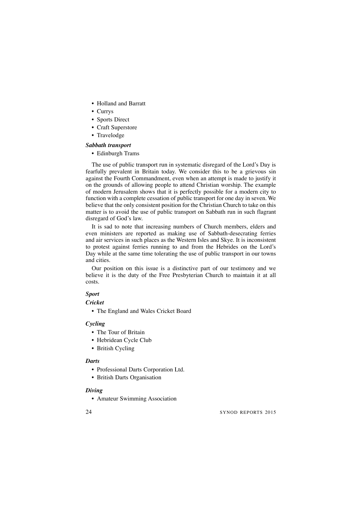- Holland and Barratt
- Currys
- Sports Direct
- Craft Superstore
- Travelodge
- *Sabbath transport*
	- Edinburgh Trams

The use of public transport run in systematic disregard of the Lord's Day is fearfully prevalent in Britain today. We consider this to be a grievous sin against the Fourth Commandment, even when an attempt is made to justify it on the grounds of allowing people to attend Christian worship. The example of modern Jerusalem shows that it is perfectly possible for a modern city to function with a complete cessation of public transport for one day in seven. We believe that the only consistent position for the Christian Church to take on this matter is to avoid the use of public transport on Sabbath run in such flagrant disregard of God's law.

It is sad to note that increasing numbers of Church members, elders and even ministers are reported as making use of Sabbath-desecrating ferries and air services in such places as the Western Isles and Skye. It is inconsistent to protest against ferries running to and from the Hebrides on the Lord's Day while at the same time tolerating the use of public transport in our towns and cities.

Our position on this issue is a distinctive part of our testimony and we believe it is the duty of the Free Presbyterian Church to maintain it at all costs.

# *Sport*

# *Cricket*

• The England and Wales Cricket Board

# *Cycling*

- The Tour of Britain
- Hebridean Cycle Club
- British Cycling

#### *Darts*

- Professional Darts Corporation Ltd.
- British Darts Organisation

# *Diving*

• Amateur Swimming Association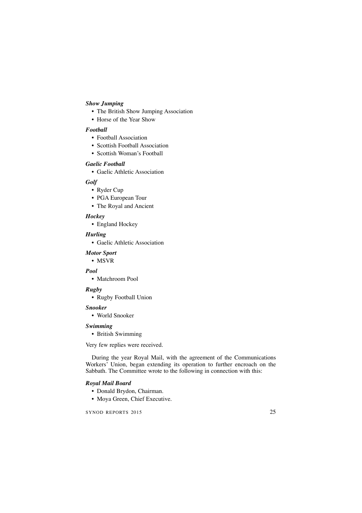# *Show Jumping*

- The British Show Jumping Association
- Horse of the Year Show

# *Football*

- Football Association
- Scottish Football Association
- Scottish Woman's Football

# *Gaelic Football*

• Gaelic Athletic Association

# *Golf*

- Ryder Cup
- PGA European Tour
- The Royal and Ancient

# *Hockey*

• England Hockey

# *Hurling*

• Gaelic Athletic Association

# *Motor Sport*

• MSVR

# *Pool*

• Matchroom Pool

# *Rugby*

• Rugby Football Union

# *Snooker*

• World Snooker

# *Swimming*

• British Swimming

Very few replies were received.

During the year Royal Mail, with the agreement of the Communications Workers' Union, began extending its operation to further encroach on the Sabbath. The Committee wrote to the following in connection with this:

# *Royal Mail Board*

- Donald Brydon, Chairman.
- Moya Green, Chief Executive.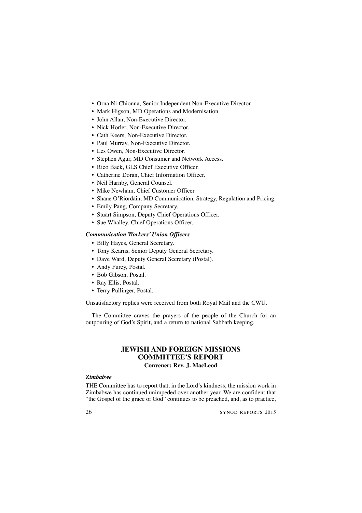- Orna Ni-Chionna, Senior Independent Non-Executive Director.
- Mark Higson, MD Operations and Modernisation.
- John Allan, Non-Executive Director.
- Nick Horler, Non-Executive Director.
- Cath Keers, Non-Executive Director.
- Paul Murray, Non-Executive Director.
- Les Owen, Non-Executive Director.
- Stephen Agur, MD Consumer and Network Access.
- Rico Back, GLS Chief Executive Officer.
- Catherine Doran, Chief Information Officer.
- Neil Harnby, General Counsel.
- Mike Newham, Chief Customer Officer.
- Shane O'Riordain, MD Communication, Strategy, Regulation and Pricing.
- Emily Pang, Company Secretary.
- Stuart Simpson, Deputy Chief Operations Officer.
- Sue Whalley, Chief Operations Officer.

# *Communication Workers' Union Officers*

- Billy Hayes, General Secretary.
- Tony Kearns, Senior Deputy General Secretary.
- Dave Ward, Deputy General Secretary (Postal).
- Andy Furey, Postal.
- Bob Gibson, Postal.
- Ray Ellis, Postal.
- Terry Pullinger, Postal.

Unsatisfactory replies were received from both Royal Mail and the CWU.

The Committee craves the prayers of the people of the Church for an outpouring of God's Spirit, and a return to national Sabbath keeping.

# **JEWISH AND FOREIGN MISSIONS COMMITTEE'S REPORT Convener: Rev. J. MacLeod**

# *Zimbabwe*

THE Committee has to report that, in the Lord's kindness, the mission work in Zimbabwe has continued unimpeded over another year. We are confident that "the Gospel of the grace of God" continues to be preached, and, as to practice,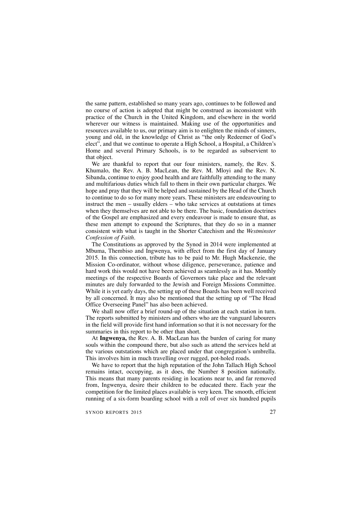the same pattern, established so many years ago, continues to be followed and no course of action is adopted that might be construed as inconsistent with practice of the Church in the United Kingdom, and elsewhere in the world wherever our witness is maintained. Making use of the opportunities and resources available to us, our primary aim is to enlighten the minds of sinners, young and old, in the knowledge of Christ as "the only Redeemer of God's elect", and that we continue to operate a High School, a Hospital, a Children's Home and several Primary Schools, is to be regarded as subservient to that object.

We are thankful to report that our four ministers, namely, the Rev. S. Khumalo, the Rev. A. B. MacLean, the Rev. M. Mloyi and the Rev. N. Sibanda, continue to enjoy good health and are faithfully attending to the many and multifarious duties which fall to them in their own particular charges. We hope and pray that they will be helped and sustained by the Head of the Church to continue to do so for many more years. These ministers are endeavouring to instruct the men – usually elders – who take services at outstations at times when they themselves are not able to be there. The basic, foundation doctrines of the Gospel are emphasized and every endeavour is made to ensure that, as these men attempt to expound the Scriptures, that they do so in a manner consistent with what is taught in the Shorter Catechism and the *Westminster Confession of Faith.*

The Constitutions as approved by the Synod in 2014 were implemented at Mbuma, Thembiso and Ingwenya, with effect from the first day of January 2015. In this connection, tribute has to be paid to Mr. Hugh Mackenzie, the Mission Co-ordinator, without whose diligence, perseverance, patience and hard work this would not have been achieved as seamlessly as it has. Monthly meetings of the respective Boards of Governors take place and the relevant minutes are duly forwarded to the Jewish and Foreign Missions Committee. While it is yet early days, the setting up of these Boards has been well received by all concerned. It may also be mentioned that the setting up of "The Head Office Overseeing Panel" has also been achieved.

We shall now offer a brief round-up of the situation at each station in turn. The reports submitted by ministers and others who are the vanguard labourers in the field will provide first hand information so that it is not necessary for the summaries in this report to be other than short.

At **Ingwenya,** the Rev. A. B. MacLean has the burden of caring for many souls within the compound there, but also such as attend the services held at the various outstations which are placed under that congregation's umbrella. This involves him in much travelling over rugged, pot-holed roads.

We have to report that the high reputation of the John Tallach High School remains intact, occupying, as it does, the Number 8 position nationally. This means that many parents residing in locations near to, and far removed from, Ingwenya, desire their children to be educated there. Each year the competition for the limited places available is very keen. The smooth, efficient running of a six-form boarding school with a roll of over six hundred pupils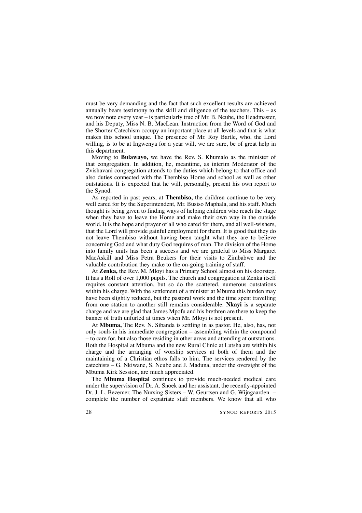must be very demanding and the fact that such excellent results are achieved annually bears testimony to the skill and diligence of the teachers. This – as we now note every year – is particularly true of Mr. B. Ncube, the Headmaster, and his Deputy, Miss N. B. MacLean. Instruction from the Word of God and the Shorter Catechism occupy an important place at all levels and that is what makes this school unique. The presence of Mr. Roy Bartle, who, the Lord willing, is to be at Ingwenya for a year will, we are sure, be of great help in this department.

Moving to **Bulawayo,** we have the Rev. S. Khumalo as the minister of that congregation. In addition, he, meantime, as interim Moderator of the Zvishavani congregation attends to the duties which belong to that office and also duties connected with the Thembiso Home and school as well as other outstations. It is expected that he will, personally, present his own report to the Synod.

As reported in past years, at **Thembiso,** the children continue to be very well cared for by the Superintendent, Mr. Busiso Maphala, and his staff. Much thought is being given to finding ways of helping children who reach the stage when they have to leave the Home and make their own way in the outside world. It is the hope and prayer of all who cared for them, and all well-wishers. that the Lord will provide gainful employment for them. It is good that they do not leave Thembiso without having been taught what they are to believe concerning God and what duty God requires of man. The division of the Home into family units has been a success and we are grateful to Miss Margaret MacAskill and Miss Petra Beukers for their visits to Zimbabwe and the valuable contribution they make to the on-going training of staff.

At **Zenka,** the Rev. M. Mloyi has a Primary School almost on his doorstep. It has a Roll of over 1,000 pupils. The church and congregation at Zenka itself requires constant attention, but so do the scattered, numerous outstations within his charge. With the settlement of a minister at Mbuma this burden may have been slightly reduced, but the pastoral work and the time spent travelling from one station to another still remains considerable. **Nkayi** is a separate charge and we are glad that James Mpofu and his brethren are there to keep the banner of truth unfurled at times when Mr. Mloyi is not present.

At **Mbuma,** The Rev. N. Sibanda is settling in as pastor. He, also, has, not only souls in his immediate congregation – assembling within the compound – to care for, but also those residing in other areas and attending at outstations. Both the Hospital at Mbuma and the new Rural Clinic at Lutsha are within his charge and the arranging of worship services at both of them and the maintaining of a Christian ethos falls to him. The services rendered by the catechists – G. Nkiwane, S. Ncube and J. Maduna, under the oversight of the Mbuma Kirk Session, are much appreciated.

The **Mbuma Hospital** continues to provide much-needed medical care under the supervision of Dr. A. Snoek and her assistant, the recently-appointed Dr. J. L. Bezemer. The Nursing Sisters – W. Geurtsen and G. Wijngaarden – complete the number of expatriate staff members. We know that all who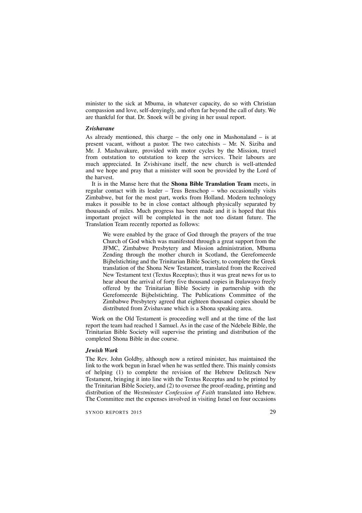minister to the sick at Mbuma, in whatever capacity, do so with Christian compassion and love, self-denyingly, and often far beyond the call of duty. We are thankful for that. Dr. Snoek will be giving in her usual report.

#### *Zvishavane*

As already mentioned, this charge – the only one in Mashonaland – is at present vacant, without a pastor. The two catechists – Mr. N. Siziba and Mr. J. Mashavakure, provided with motor cycles by the Mission, travel from outstation to outstation to keep the services. Their labours are much appreciated. In Zvishivane itself, the new church is well-attended and we hope and pray that a minister will soon be provided by the Lord of the harvest.

It is in the Manse here that the **Shona Bible Translation Team** meets, in regular contact with its leader – Teus Benschop – who occasionally visits Zimbabwe, but for the most part, works from Holland. Modern technology makes it possible to be in close contact although physically separated by thousands of miles. Much progress has been made and it is hoped that this important project will be completed in the not too distant future. The Translation Team recently reported as follows:

We were enabled by the grace of God through the prayers of the true Church of God which was manifested through a great support from the JFMC, Zimbabwe Presbytery and Mission administration, Mbuma Zending through the mother church in Scotland, the Gerefomeerde Bijbelstichting and the Trinitarian Bible Society, to complete the Greek translation of the Shona New Testament, translated from the Received New Testament text (Textus Receptus); thus it was great news for us to hear about the arrival of forty five thousand copies in Bulawayo freely offered by the Trinitarian Bible Society in partnership with the Gerefomeerde Bijbelstichting. The Publications Committee of the Zimbabwe Presbytery agreed that eighteen thousand copies should be distributed from Zvishavane which is a Shona speaking area.

Work on the Old Testament is proceeding well and at the time of the last report the team had reached 1 Samuel. As in the case of the Ndebele Bible, the Trinitarian Bible Society will supervise the printing and distribution of the completed Shona Bible in due course.

#### *Jewish Work*

The Rev. John Goldby, although now a retired minister, has maintained the link to the work begun in Israel when he was settled there. This mainly consists of helping (1) to complete the revision of the Hebrew Delitzsch New Testament, bringing it into line with the Textus Receptus and to be printed by the Trinitarian Bible Society, and (2) to oversee the proof-reading, printing and distribution of the *Westminster Confession of Faith* translated into Hebrew. The Committee met the expenses involved in visiting Israel on four occasions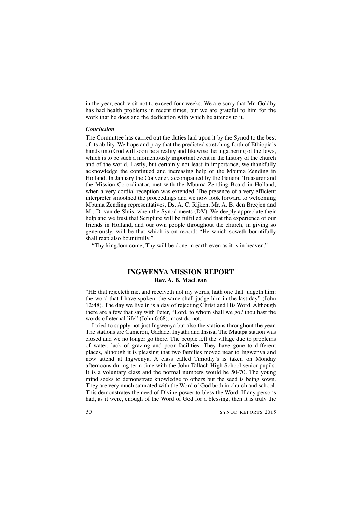in the year, each visit not to exceed four weeks. We are sorry that Mr. Goldby has had health problems in recent times, but we are grateful to him for the work that he does and the dedication with which he attends to it.

### *Conclusion*

The Committee has carried out the duties laid upon it by the Synod to the best of its ability. We hope and pray that the predicted stretching forth of Ethiopia's hands unto God will soon be a reality and likewise the ingathering of the Jews, which is to be such a momentously important event in the history of the church and of the world. Lastly, but certainly not least in importance, we thankfully acknowledge the continued and increasing help of the Mbuma Zending in Holland. In January the Convener, accompanied by the General Treasurer and the Mission Co-ordinator, met with the Mbuma Zending Board in Holland, when a very cordial reception was extended. The presence of a very efficient interpreter smoothed the proceedings and we now look forward to welcoming Mbuma Zending representatives, Ds. A. C. Rijken, Mr. A. B. den Breejen and Mr. D. van de Sluis, when the Synod meets (DV). We deeply appreciate their help and we trust that Scripture will be fulfilled and that the experience of our friends in Holland, and our own people throughout the church, in giving so generously, will be that which is on record: "He which soweth bountifully shall reap also bountifully."

"Thy kingdom come, Thy will be done in earth even as it is in heaven."

# **INGWENYA MISSION REPORT Rev. A. B. MacLean**

"HE that rejecteth me, and receiveth not my words, hath one that judgeth him: the word that I have spoken, the same shall judge him in the last day" (John 12:48). The day we live in is a day of rejecting Christ and His Word. Although there are a few that say with Peter, "Lord, to whom shall we go? thou hast the words of eternal life" (John 6:68), most do not.

I tried to supply not just Ingwenya but also the stations throughout the year. The stations are Cameron, Gadade, Inyathi and Insisa. The Matapa station was closed and we no longer go there. The people left the village due to problems of water, lack of grazing and poor facilities. They have gone to different places, although it is pleasing that two families moved near to Ingwenya and now attend at Ingwenya. A class called Timothy's is taken on Monday afternoons during term time with the John Tallach High School senior pupils. It is a voluntary class and the normal numbers would be 50-70. The young mind seeks to demonstrate knowledge to others but the seed is being sown. They are very much saturated with the Word of God both in church and school. This demonstrates the need of Divine power to bless the Word. If any persons had, as it were, enough of the Word of God for a blessing, then it is truly the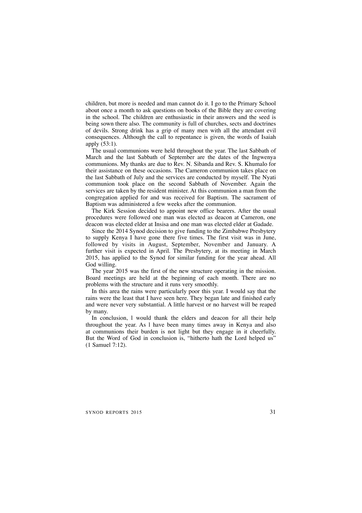children, but more is needed and man cannot do it. I go to the Primary School about once a month to ask questions on books of the Bible they are covering in the school. The children are enthusiastic in their answers and the seed is being sown there also. The community is full of churches, sects and doctrines of devils. Strong drink has a grip of many men with all the attendant evil consequences. Although the call to repentance is given, the words of Isaiah apply (53:1).

The usual communions were held throughout the year. The last Sabbath of March and the last Sabbath of September are the dates of the Ingwenya communions. My thanks are due to Rev. N. Sibanda and Rev. S. Khumalo for their assistance on these occasions. The Cameron communion takes place on the last Sabbath of July and the services are conducted by myself. The Nyati communion took place on the second Sabbath of November. Again the services are taken by the resident minister. At this communion a man from the congregation applied for and was received for Baptism. The sacrament of Baptism was administered a few weeks after the communion.

The Kirk Session decided to appoint new office bearers. After the usual procedures were followed one man was elected as deacon at Cameron, one deacon was elected elder at Insisa and one man was elected elder at Gadade.

Since the 2014 Synod decision to give funding to the Zimbabwe Presbytery to supply Kenya I have gone there five times. The first visit was in June, followed by visits in August, September, November and January. A further visit is expected in April. The Presbytery, at its meeting in March 2015, has applied to the Synod for similar funding for the year ahead. All God willing.

The year 2015 was the first of the new structure operating in the mission. Board meetings are held at the beginning of each month. There are no problems with the structure and it runs very smoothly.

In this area the rains were particularly poor this year. I would say that the rains were the least that I have seen here. They began late and finished early and were never very substantial. A little harvest or no harvest will be reaped by many.

In conclusion, l would thank the elders and deacon for all their help throughout the year. As l have been many times away in Kenya and also at communions their burden is not light but they engage in it cheerfully. But the Word of God in conclusion is, "hitherto hath the Lord helped us" (1 Samuel 7:12).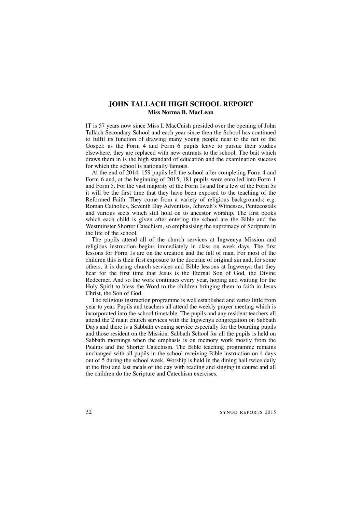# **JOHN TALLACH HIGH SCHOOL REPORT Miss Norma B. MacLean**

IT is 57 years now since Miss I. MacCuish presided over the opening of John Tallach Secondary School and each year since then the School has continued to fulfil its function of drawing many young people near to the net of the Gospel: as the Form 4 and Form 6 pupils leave to pursue their studies elsewhere, they are replaced with new entrants to the school. The bait which draws them in is the high standard of education and the examination success for which the school is nationally famous.

At the end of 2014, 159 pupils left the school after completing Form 4 and Form 6 and, at the beginning of 2015, 181 pupils were enrolled into Form 1 and Form 5. For the vast majority of the Form 1s and for a few of the Form 5s it will be the first time that they have been exposed to the teaching of the Reformed Faith. They come from a variety of religious backgrounds; e.g. Roman Catholics, Seventh Day Adventists, Jehovah's Witnesses, Pentecostals and various sects which still hold on to ancestor worship. The first books which each child is given after entering the school are the Bible and the Westminster Shorter Catechism, so emphasising the supremacy of Scripture in the life of the school.

The pupils attend all of the church services at Ingwenya Mission and religious instruction begins immediately in class on week days. The first lessons for Form 1s are on the creation and the fall of man. For most of the children this is their first exposure to the doctrine of original sin and, for some others, it is during church services and Bible lessons at Ingwenya that they hear for the first time that Jesus is the Eternal Son of God, the Divine Redeemer. And so the work continues every year, hoping and waiting for the Holy Spirit to bless the Word to the children bringing them to faith in Jesus Christ, the Son of God.

The religious instruction programme is well established and varies little from year to year. Pupils and teachers all attend the weekly prayer meeting which is incorporated into the school timetable. The pupils and any resident teachers all attend the 2 main church services with the Ingwenya congregation on Sabbath Days and there is a Sabbath evening service especially for the boarding pupils and those resident on the Mission. Sabbath School for all the pupils is held on Sabbath mornings when the emphasis is on memory work mostly from the Psalms and the Shorter Catechism. The Bible teaching programme remains unchanged with all pupils in the school receiving Bible instruction on 4 days out of 5 during the school week. Worship is held in the dining hall twice daily at the first and last meals of the day with reading and singing in course and all the children do the Scripture and Catechism exercises.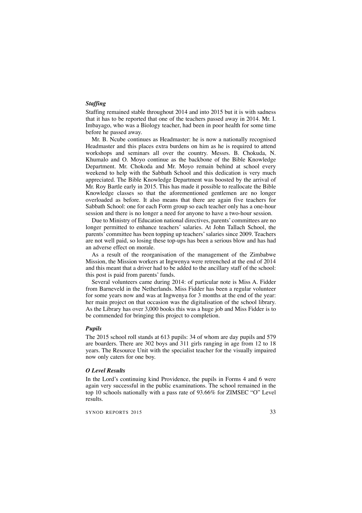# *Staffing*

Staffing remained stable throughout 2014 and into 2015 but it is with sadness that it has to be reported that one of the teachers passed away in 2014. Mr. I. Imbayago, who was a Biology teacher, had been in poor health for some time before he passed away.

Mr. B. Ncube continues as Headmaster: he is now a nationally recognised Headmaster and this places extra burdens on him as he is required to attend workshops and seminars all over the country. Messrs. B. Chokuda, N. Khumalo and O. Moyo continue as the backbone of the Bible Knowledge Department. Mr. Chokoda and Mr. Moyo remain behind at school every weekend to help with the Sabbath School and this dedication is very much appreciated. The Bible Knowledge Department was boosted by the arrival of Mr. Roy Bartle early in 2015. This has made it possible to reallocate the Bible Knowledge classes so that the aforementioned gentlemen are no longer overloaded as before. It also means that there are again five teachers for Sabbath School: one for each Form group so each teacher only has a one-hour session and there is no longer a need for anyone to have a two-hour session.

Due to Ministry of Education national directives, parents' committees are no longer permitted to enhance teachers' salaries. At John Tallach School, the parents' committee has been topping up teachers'salaries since 2009. Teachers are not well paid, so losing these top-ups has been a serious blow and has had an adverse effect on morale.

As a result of the reorganisation of the management of the Zimbabwe Mission, the Mission workers at Ingwenya were retrenched at the end of 2014 and this meant that a driver had to be added to the ancillary staff of the school: this post is paid from parents' funds.

Several volunteers came during 2014: of particular note is Miss A. Fidder from Barneveld in the Netherlands. Miss Fidder has been a regular volunteer for some years now and was at Ingwenya for 3 months at the end of the year: her main project on that occasion was the digitalisation of the school library. As the Library has over 3,000 books this was a huge job and Miss Fidder is to be commended for bringing this project to completion.

#### *Pupils*

The 2015 school roll stands at 613 pupils: 34 of whom are day pupils and 579 are boarders. There are 302 boys and 311 girls ranging in age from 12 to 18 years. The Resource Unit with the specialist teacher for the visually impaired now only caters for one boy.

#### *O Level Results*

In the Lord's continuing kind Providence, the pupils in Forms 4 and 6 were again very successful in the public examinations. The school remained in the top 10 schools nationally with a pass rate of 93.66% for ZIMSEC "O" Level results.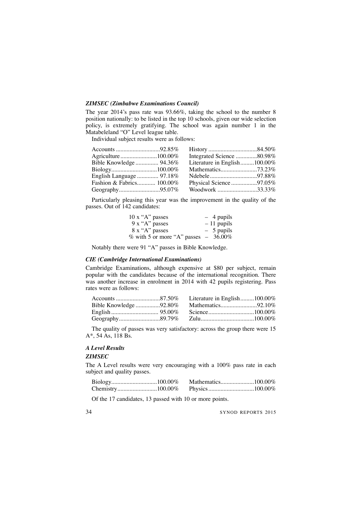# *ZIMSEC (Zimbabwe Examinations Council)*

The year 2014's pass rate was 93.66%, taking the school to the number 8 position nationally: to be listed in the top 10 schools, given our wide selection policy, is extremely gratifying. The school was again number 1 in the Matabeleland "O" Level league table.

Individual subject results were as follows:

| Accounts 92.85%           |                              |  |
|---------------------------|------------------------------|--|
|                           | Integrated Science 80.98%    |  |
| Bible Knowledge  94.36%   | Literature in English100.00% |  |
|                           |                              |  |
| English Language  97.18%  |                              |  |
| Fashion & Fabrics 100.00% | Physical Science97.05%       |  |
| Geography95.07%           | Woodwork 33.33%              |  |
|                           |                              |  |

Particularly pleasing this year was the improvement in the quality of the passes. Out of 142 candidates:

| $10 \times$ "A" passes                    | $-4$ pupils  |
|-------------------------------------------|--------------|
| $9x''A''$ passes                          | $-11$ pupils |
| 8 x "A" passes                            | $-5$ pupils  |
| $\%$ with 5 or more "A" passes $-36.00\%$ |              |

Notably there were 91 "A" passes in Bible Knowledge.

### *CIE (Cambridge International Examinations)*

Cambridge Examinations, although expensive at \$80 per subject, remain popular with the candidates because of the international recognition. There was another increase in enrolment in 2014 with 42 pupils registering. Pass rates were as follows:

The quality of passes was very satisfactory: across the group there were 15 A\*, 54 As, 118 Bs.

# *A Level Results*

# *ZIMSEC*

The A Level results were very encouraging with a 100% pass rate in each subject and quality passes.

Of the 17 candidates, 13 passed with 10 or more points.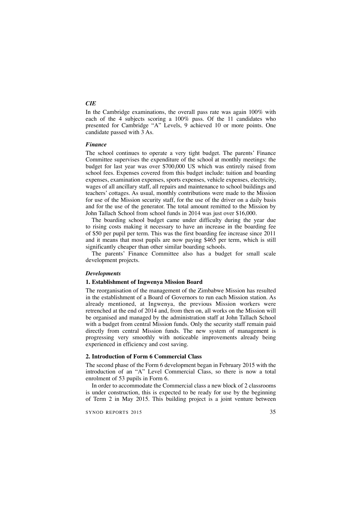# *CIE*

In the Cambridge examinations, the overall pass rate was again 100% with each of the 4 subjects scoring a 100% pass. Of the 11 candidates who presented for Cambridge "A" Levels, 9 achieved 10 or more points. One candidate passed with 3 As.

#### *Finance*

The school continues to operate a very tight budget. The parents' Finance Committee supervises the expenditure of the school at monthly meetings: the budget for last year was over \$700,000 US which was entirely raised from school fees. Expenses covered from this budget include: tuition and boarding expenses, examination expenses, sports expenses, vehicle expenses, electricity, wages of all ancillary staff, all repairs and maintenance to school buildings and teachers' cottages. As usual, monthly contributions were made to the Mission for use of the Mission security staff, for the use of the driver on a daily basis and for the use of the generator. The total amount remitted to the Mission by John Tallach School from school funds in 2014 was just over \$16,000.

The boarding school budget came under difficulty during the year due to rising costs making it necessary to have an increase in the boarding fee of \$50 per pupil per term. This was the first boarding fee increase since 2011 and it means that most pupils are now paying \$465 per term, which is still significantly cheaper than other similar boarding schools.

The parents' Finance Committee also has a budget for small scale development projects.

# *Developments*

#### **1. Establishment of Ingwenya Mission Board**

The reorganisation of the management of the Zimbabwe Mission has resulted in the establishment of a Board of Governors to run each Mission station. As already mentioned, at Ingwenya, the previous Mission workers were retrenched at the end of 2014 and, from then on, all works on the Mission will be organised and managed by the administration staff at John Tallach School with a budget from central Mission funds. Only the security staff remain paid directly from central Mission funds. The new system of management is progressing very smoothly with noticeable improvements already being experienced in efficiency and cost saving.

#### **2. Introduction of Form 6 Commercial Class**

The second phase of the Form 6 development began in February 2015 with the introduction of an "A" Level Commercial Class, so there is now a total enrolment of 53 pupils in Form 6.

In order to accommodate the Commercial class a new block of 2 classrooms is under construction, this is expected to be ready for use by the beginning of Term 2 in May 2015. This building project is a joint venture between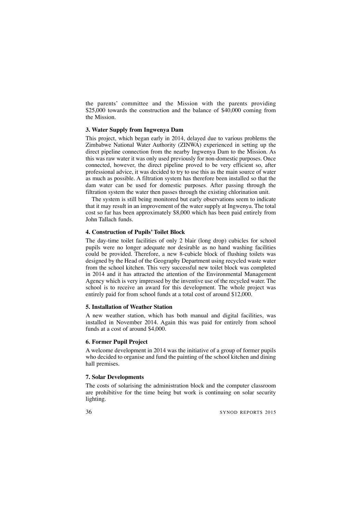the parents' committee and the Mission with the parents providing \$25,000 towards the construction and the balance of \$40,000 coming from the Mission.

# **3. Water Supply from Ingwenya Dam**

This project, which began early in 2014, delayed due to various problems the Zimbabwe National Water Authority (ZINWA) experienced in setting up the direct pipeline connection from the nearby Ingwenya Dam to the Mission. As this was raw water it was only used previously for non-domestic purposes. Once connected, however, the direct pipeline proved to be very efficient so, after professional advice, it was decided to try to use this as the main source of water as much as possible. A filtration system has therefore been installed so that the dam water can be used for domestic purposes. After passing through the filtration system the water then passes through the existing chlorination unit.

The system is still being monitored but early observations seem to indicate that it may result in an improvement of the water supply at Ingwenya. The total cost so far has been approximately \$8,000 which has been paid entirely from John Tallach funds.

# **4. Construction of Pupils' Toilet Block**

The day-time toilet facilities of only 2 blair (long drop) cubicles for school pupils were no longer adequate nor desirable as no hand washing facilities could be provided. Therefore, a new 8-cubicle block of flushing toilets was designed by the Head of the Geography Department using recycled waste water from the school kitchen. This very successful new toilet block was completed in 2014 and it has attracted the attention of the Environmental Management Agency which is very impressed by the inventive use of the recycled water. The school is to receive an award for this development. The whole project was entirely paid for from school funds at a total cost of around \$12,000.

#### **5. Installation of Weather Station**

A new weather station, which has both manual and digital facilities, was installed in November 2014. Again this was paid for entirely from school funds at a cost of around \$4,000.

# **6. Former Pupil Project**

A welcome development in 2014 was the initiative of a group of former pupils who decided to organise and fund the painting of the school kitchen and dining hall premises.

# **7. Solar Developments**

The costs of solarising the administration block and the computer classroom are prohibitive for the time being but work is continuing on solar security lighting.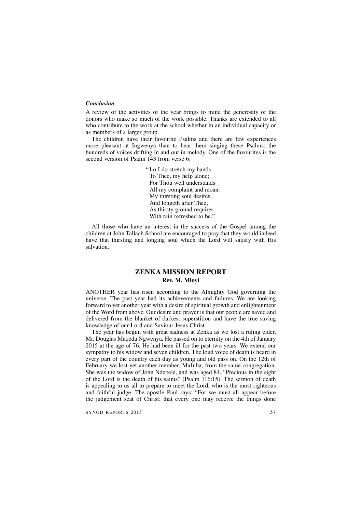### *Conclusion*

A review of the activities of the year brings to mind the generosity of the donors who make so much of the work possible. Thanks are extended to all who contribute to the work at the school whether in an individual capacity or as members of a larger group.

The children have their favourite Psalms and there are few experiences more pleasant at Ingwenya than to hear them singing these Psalms: the hundreds of voices drifting in and out in melody. One of the favourites is the second version of Psalm 143 from verse 6:

> "Lo I do stretch my hands To Thee, my help alone; For Thou well understands All my complaint and moan: My thirsting soul desires, And longeth after Thee, As thirsty ground requires With rain refreshed to be."

All those who have an interest in the success of the Gospel among the children at John Tallach School are encouraged to pray that they would indeed have that thirsting and longing soul which the Lord will satisfy with His salvation.

## **ZENKA MISSION REPORT Rev. M. Mloyi**

ANOTHER year has risen according to the Almighty God governing the universe. The past year had its achievements and failures. We are looking forward to yet another year with a desire of spiritual growth and enlightenment of the Word from above. Our desire and prayer is that our people are saved and delivered from the blanket of darkest superstition and have the true saving knowledge of our Lord and Saviour Jesus Christ.

The year has begun with great sadness at Zenka as we lost a ruling elder, Mr. Douglas Maqeda Ngwenya. He passed on to eternity on the 4th of January 2015 at the age of 76. He had been ill for the past two years. We extend our sympathy to his widow and seven children. The loud voice of death is heard in every part of the country each day as young and old pass on. On the 12th of February we lost yet another member, MaJuba, from the same congregation. She was the widow of John Ndebele, and was aged 84. "Precious in the sight of the Lord is the death of his saints" (Psalm 116:15). The sermon of death is appealing to us all to prepare to meet the Lord, who is the most righteous and faithful judge. The apostle Paul says: "For we must all appear before the judgement seat of Christ; that every one may receive the things done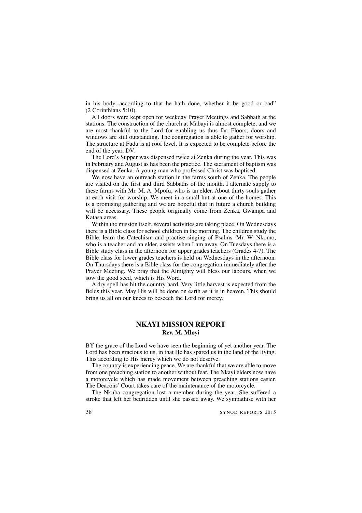in his body, according to that he hath done, whether it be good or bad" (2 Corinthians 5:10).

All doors were kept open for weekday Prayer Meetings and Sabbath at the stations. The construction of the church at Mabayi is almost complete, and we are most thankful to the Lord for enabling us thus far. Floors, doors and windows are still outstanding. The congregation is able to gather for worship. The structure at Fudu is at roof level. It is expected to be complete before the end of the year, DV.

The Lord's Supper was dispensed twice at Zenka during the year. This was in February and August as has been the practice. The sacrament of baptism was dispensed at Zenka. A young man who professed Christ was baptised.

We now have an outreach station in the farms south of Zenka. The people are visited on the first and third Sabbaths of the month. I alternate supply to these farms with Mr. M. A. Mpofu, who is an elder. About thirty souls gather at each visit for worship. We meet in a small hut at one of the homes. This is a promising gathering and we are hopeful that in future a church building will be necessary. These people originally come from Zenka, Gwampa and Katasa areas.

Within the mission itself, several activities are taking place. On Wednesdays there is a Bible class for school children in the morning. The children study the Bible, learn the Catechism and practise singing of Psalms. Mr. W. Nkomo, who is a teacher and an elder, assists when I am away. On Tuesdays there is a Bible study class in the afternoon for upper grades teachers (Grades 4-7). The Bible class for lower grades teachers is held on Wednesdays in the afternoon. On Thursdays there is a Bible class for the congregation immediately after the Prayer Meeting. We pray that the Almighty will bless our labours, when we sow the good seed, which is His Word.

A dry spell has hit the country hard. Very little harvest is expected from the fields this year. May His will be done on earth as it is in heaven. This should bring us all on our knees to beseech the Lord for mercy.

## **NKAYI MISSION REPORT Rev. M. Mloyi**

BY the grace of the Lord we have seen the beginning of yet another year. The Lord has been gracious to us, in that He has spared us in the land of the living. This according to His mercy which we do not deserve.

The country is experiencing peace. We are thankful that we are able to move from one preaching station to another without fear. The Nkayi elders now have a motorcycle which has made movement between preaching stations easier. The Deacons' Court takes care of the maintenance of the motorcycle.

The Nkuba congregation lost a member during the year. She suffered a stroke that left her bedridden until she passed away. We sympathise with her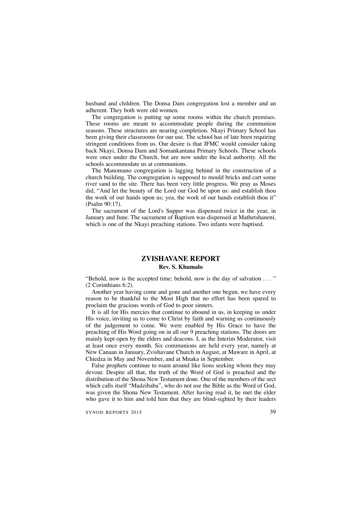husband and children. The Donsa Dam congregation lost a member and an adherent. They both were old women.

The congregation is putting up some rooms within the church premises. These rooms are meant to accommodate people during the communion seasons. These structures are nearing completion. Nkayi Primary School has been giving their classrooms for our use. The school has of late been requiring stringent conditions from us. Our desire is that JFMC would consider taking back Nkayi, Donsa Dam and Somankantana Primary Schools. These schools were once under the Church, but are now under the local authority. All the schools accommodate us at communions.

The Manomano congregation is lagging behind in the construction of a church building. The congregation is supposed to mould bricks and cart some river sand to the site. There has been very little progress. We pray as Moses did, "And let the beauty of the Lord our God be upon us: and establish thou the work of our hands upon us; yea, the work of our hands establish thou it" (Psalm 90:17).

The sacrament of the Lord's Supper was dispensed twice in the year, in January and June. The sacrament of Baptism was dispensed at Mathetshaneni, which is one of the Nkayi preaching stations. Two infants were baptised.

# **ZVISHAVANE REPORT**

## **Rev. S. Khumalo**

"Behold, now is the accepted time; behold, now is the day of salvation . . . " (2 Corinthians 6:2).

Another year having come and gone and another one begun, we have every reason to be thankful to the Most High that no effort has been spared to proclaim the gracious words of God to poor sinners.

It is all for His mercies that continue to abound in us, in keeping us under His voice, inviting us to come to Christ by faith and warning us continuously of the judgement to come. We were enabled by His Grace to have the preaching of His Word going on in all our 9 preaching stations. The doors are mainly kept open by the elders and deacons. I, as the Interim Moderator, visit at least once every month. Six communions are held every year, namely at New Canaan in January, Zvishavane Church in August, at Maware in April, at Chiedza in May and November, and at Mnaka in September.

False prophets continue to roam around like lions seeking whom they may devour. Despite all that, the truth of the Word of God is preached and the distribution of the Shona New Testament done. One of the members of the sect which calls itself "Madzibaba", who do not use the Bible as the Word of God, was given the Shona New Testament. After having read it, he met the elder who gave it to him and told him that they are blind-sighted by their leaders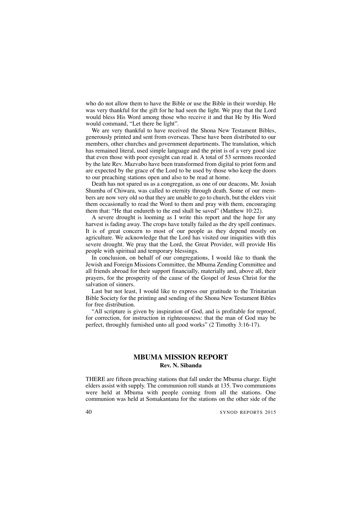who do not allow them to have the Bible or use the Bible in their worship. He was very thankful for the gift for he had seen the light. We pray that the Lord would bless His Word among those who receive it and that He by His Word would command, "Let there be light".

We are very thankful to have received the Shona New Testament Bibles, generously printed and sent from overseas. These have been distributed to our members, other churches and government departments. The translation, which has remained literal, used simple language and the print is of a very good size that even those with poor eyesight can read it. A total of 53 sermons recorded by the late Rev. Mazvabo have been transformed from digital to print form and are expected by the grace of the Lord to be used by those who keep the doors to our preaching stations open and also to be read at home.

Death has not spared us as a congregation, as one of our deacons, Mr. Josiah Shumba of Chiwara, was called to eternity through death. Some of our members are now very old so that they are unable to go to church, but the elders visit them occasionally to read the Word to them and pray with them, encouraging them that: "He that endureth to the end shall be saved" (Matthew 10:22).

A severe drought is looming as I write this report and the hope for any harvest is fading away. The crops have totally failed as the dry spell continues. It is of great concern to most of our people as they depend mostly on agriculture. We acknowledge that the Lord has visited our iniquities with this severe drought. We pray that the Lord, the Great Provider, will provide His people with spiritual and temporary blessings.

In conclusion, on behalf of our congregations, I would like to thank the Jewish and Foreign Missions Committee, the Mbuma Zending Committee and all friends abroad for their support financially, materially and, above all, their prayers, for the prosperity of the cause of the Gospel of Jesus Christ for the salvation of sinners.

Last but not least, I would like to express our gratitude to the Trinitarian Bible Society for the printing and sending of the Shona New Testament Bibles for free distribution.

"All scripture is given by inspiration of God, and is profitable for reproof, for correction, for instruction in righteousness: that the man of God may be perfect, throughly furnished unto all good works" (2 Timothy 3:16-17).

## **MBUMA MISSION REPORT Rev. N. Sibanda**

THERE are fifteen preaching stations that fall under the Mbuma charge. Eight elders assist with supply. The communion roll stands at 135. Two communions were held at Mbuma with people coming from all the stations. One communion was held at Somakantana for the stations on the other side of the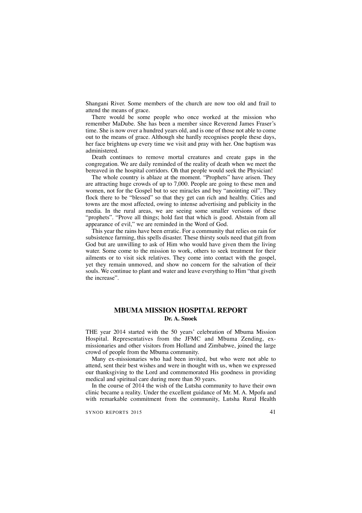Shangani River. Some members of the church are now too old and frail to attend the means of grace.

There would be some people who once worked at the mission who remember MaDube. She has been a member since Reverend James Fraser's time. She is now over a hundred years old, and is one of those not able to come out to the means of grace. Although she hardly recognises people these days, her face brightens up every time we visit and pray with her. One baptism was administered.

Death continues to remove mortal creatures and create gaps in the congregation. We are daily reminded of the reality of death when we meet the bereaved in the hospital corridors. Oh that people would seek the Physician!

The whole country is ablaze at the moment. "Prophets" have arisen. They are attracting huge crowds of up to 7,000. People are going to these men and women, not for the Gospel but to see miracles and buy "anointing oil". They flock there to be "blessed" so that they get can rich and healthy. Cities and towns are the most affected, owing to intense advertising and publicity in the media. In the rural areas, we are seeing some smaller versions of these "prophets". "Prove all things; hold fast that which is good. Abstain from all appearance of evil," we are reminded in the Word of God.

This year the rains have been erratic. For a community that relies on rain for subsistence farming, this spells disaster. These thirsty souls need that gift from God but are unwilling to ask of Him who would have given them the living water. Some come to the mission to work, others to seek treatment for their ailments or to visit sick relatives. They come into contact with the gospel, yet they remain unmoved, and show no concern for the salvation of their souls. We continue to plant and water and leave everything to Him "that giveth the increase".

## **MBUMA MISSION HOSPITAL REPORT Dr. A. Snoek**

THE year 2014 started with the 50 years' celebration of Mbuma Mission Hospital. Representatives from the JFMC and Mbuma Zending, exmissionaries and other visitors from Holland and Zimbabwe, joined the large crowd of people from the Mbuma community.

Many ex-missionaries who had been invited, but who were not able to attend, sent their best wishes and were in thought with us, when we expressed our thanksgiving to the Lord and commemorated His goodness in providing medical and spiritual care during more than 50 years.

In the course of 2014 the wish of the Lutsha community to have their own clinic became a reality. Under the excellent guidance of Mr. M. A. Mpofu and with remarkable commitment from the community, Lutsha Rural Health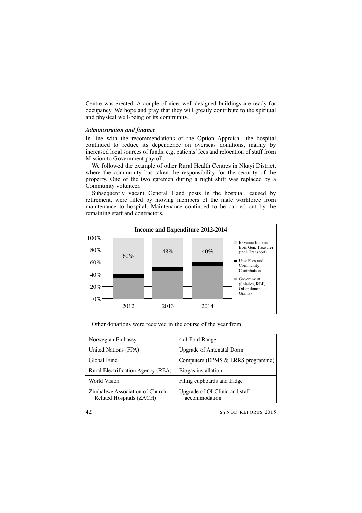Centre was erected. A couple of nice, well-designed buildings are ready for occupancy. We hope and pray that they will greatly contribute to the spiritual and physical well-being of its community.

### *Administration and finance*

In line with the recommendations of the Option Appraisal, the hospital continued to reduce its dependence on overseas donations, mainly by increased local sources of funds; e.g. patients'fees and relocation of staff from Mission to Government payroll.

We followed the example of other Rural Health Centres in Nkayi District, where the community has taken the responsibility for the security of the property. One of the two gatemen during a night shift was replaced by a Community volunteer.

Subsequently vacant General Hand posts in the hospital, caused by retirement, were filled by moving members of the male workforce from maintenance to hospital. Maintenance continued to be carried out by the remaining staff and contractors.



Other donations were received in the course of the year from:

| Norwegian Embassy                                          | 4x4 Ford Ranger                                 |
|------------------------------------------------------------|-------------------------------------------------|
| United Nations (FPA)                                       | Upgrade of Antenatal Dorm                       |
| Global Fund                                                | Computers (EPMS & ERRS programme)               |
| Rural Electrification Agency (REA)                         | Biogas installation                             |
| World Vision                                               | Filing cupboards and fridge                     |
| Zimbabwe Association of Church<br>Related Hospitals (ZACH) | Upgrade of OI-Clinic and staff<br>accommodation |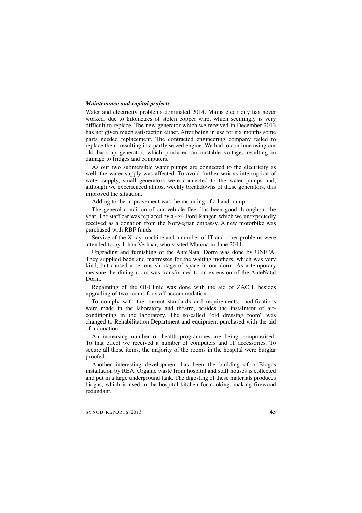#### *Maintenance and capital projects*

Water and electricity problems dominated 2014. Mains electricity has never worked, due to kilometres of stolen copper wire, which seemingly is very difficult to replace. The new generator which we received in December 2013 has not given much satisfaction either. After being in use for six months some parts needed replacement. The contracted engineering company failed to replace them, resulting in a partly seized engine. We had to continue using our old back-up generator, which produced an unstable voltage, resulting in damage to fridges and computers.

As our two submersible water pumps are connected to the electricity as well, the water supply was affected. To avoid further serious interruption of water supply, small generators were connected to the water pumps and, although we experienced almost weekly breakdowns of these generators, this improved the situation.

Adding to the improvement was the mounting of a hand pump.

The general condition of our vehicle fleet has been good throughout the year. The staff car was replaced by a 4x4 Ford Ranger, which we unexpectedly received as a donation from the Norwegian embassy. A new motorbike was purchased with RBF funds.

Service of the X-ray machine and a number of IT and other problems were attended to by Johan Verhaar, who visited Mbuma in June 2014.

Upgrading and furnishing of the AnteNatal Dorm was done by UNFPA. They supplied beds and mattresses for the waiting mothers, which was very kind, but caused a serious shortage of space in our dorm. As a temporary measure the dining room was transformed to an extension of the AnteNatal Dorm.

Repainting of the OI-Clinic was done with the aid of ZACH, besides upgrading of two rooms for staff accommodation.

To comply with the current standards and requirements, modifications were made in the laboratory and theatre, besides the instalment of airconditioning in the laboratory. The so-called "old dressing room" was changed to Rehabilitation Department and equipment purchased with the aid of a donation.

An increasing number of health programmes are being computerised. To that effect we received a number of computers and IT accessories. To secure all these items, the majority of the rooms in the hospital were burglar proofed.

Another interesting development has been the building of a Biogas installation by REA. Organic waste from hospital and staff houses is collected and put in a large underground tank. The digesting of these materials produces biogas, which is used in the hospital kitchen for cooking, making firewood redundant.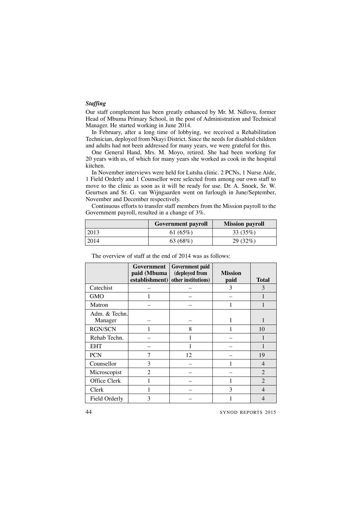## *Staffing*

Our staff complement has been greatly enhanced by Mr. M. Ndlovu, former Head of Mbuma Primary School, in the post of Administration and Technical Manager. He started working in June 2014.

In February, after a long time of lobbying, we received a Rehabilitation Technician, deployed from Nkayi District. Since the needs for disabled children and adults had not been addressed for many years, we were grateful for this.

One General Hand, Mrs. M. Moyo, retired. She had been working for 20 years with us, of which for many years she worked as cook in the hospital kitchen.

In November interviews were held for Lutsha clinic. 2 PCNs, 1 Nurse Aide, 1 Field Orderly and 1 Counsellor were selected from among our own staff to move to the clinic as soon as it will be ready for use. Dr. A. Snoek, Sr. W. Geurtsen and Sr. G. van Wijngaarden went on furlough in June/September, November and December respectively.

Continuous efforts to transfer staff members from the Mission payroll to the Government payroll, resulted in a change of 3%.

|       | <b>Government payroll</b> | <b>Mission payroll</b> |
|-------|---------------------------|------------------------|
| 12013 | 61 $(65%)$                | 33 (35%)               |
| 12014 | 63 (68%)                  | 29(32%)                |

|                          | Government<br>paid (Mbuma<br>establishment) | Government paid<br>(deployed from<br>other institutions) | <b>Mission</b><br>paid | <b>Total</b>   |
|--------------------------|---------------------------------------------|----------------------------------------------------------|------------------------|----------------|
| Catechist                |                                             |                                                          | 3                      | 3              |
| <b>GMO</b>               |                                             |                                                          |                        |                |
| Matron                   |                                             |                                                          |                        |                |
| Adm. & Techn.<br>Manager |                                             |                                                          |                        |                |
| <b>RGN/SCN</b>           |                                             | 8                                                        |                        | 10             |
| Rehab Techn.             |                                             |                                                          |                        |                |
| <b>EHT</b>               |                                             |                                                          |                        |                |
| <b>PCN</b>               | 7                                           | 12                                                       |                        | 19             |
| Counsellor               | 3                                           |                                                          |                        | $\overline{4}$ |
| Microscopist             | $\mathfrak{D}$                              |                                                          |                        | $\mathfrak{D}$ |
| Office Clerk             |                                             |                                                          |                        | $\overline{2}$ |
| Clerk                    |                                             |                                                          | 3                      | 4              |
| Field Orderly            | 3                                           |                                                          |                        |                |

The overview of staff at the end of 2014 was as follows: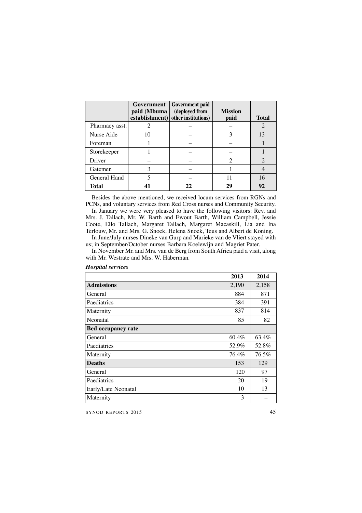|                | Government<br>paid (Mbuma | <b>Government paid</b><br>(deployed from<br>establishment) other institutions) | <b>Mission</b><br>paid | <b>Total</b> |
|----------------|---------------------------|--------------------------------------------------------------------------------|------------------------|--------------|
| Pharmacy asst. |                           |                                                                                |                        |              |
| Nurse Aide     | 10                        |                                                                                | 3                      | 13           |
| Foreman        |                           |                                                                                |                        |              |
| Storekeeper    |                           |                                                                                |                        |              |
| Driver         |                           |                                                                                |                        |              |
| Gatemen        |                           |                                                                                |                        |              |
| General Hand   |                           |                                                                                | 11                     | 16           |
| <b>Total</b>   |                           | 22                                                                             | 29                     | 92           |

Besides the above mentioned, we received locum services from RGNs and PCNs, and voluntary services from Red Cross nurses and Community Security.

In January we were very pleased to have the following visitors: Rev. and Mrs. J. Tallach, Mr. W. Barth and Ewout Barth, William Campbell, Jessie Coote, Ello Tallach, Margaret Tallach, Margaret Macaskill, Lia and Ina Terlouw, Mr. and Mrs. G. Snoek, Helena Snoek, Teus and Albert de Koning.

In June/July nurses Dineke van Gurp and Marieke van de Vliert stayed with us; in September/October nurses Barbara Koelewijn and Magriet Pater.

In November Mr. and Mrs. van de Berg from South Africa paid a visit, along with Mr. Westrate and Mrs. W. Haberman.

|                           | 2013     | 2014  |
|---------------------------|----------|-------|
| <b>Admissions</b>         | 2,190    | 2,158 |
| General                   | 884      | 871   |
| Paediatrics               | 384      | 391   |
| Maternity                 | 837      | 814   |
| Neonatal                  | 85       | 82    |
| <b>Bed occupancy rate</b> |          |       |
| General                   | $60.4\%$ | 63.4% |
| Paediatrics               | 52.9%    | 52.8% |
| Maternity                 | 76.4%    | 76.5% |
| <b>Deaths</b>             | 153      | 129   |
| General                   | 120      | 97    |
| Paediatrics               | 20       | 19    |
| Early/Late Neonatal       | 10       | 13    |
| Maternity                 | 3        |       |

#### *Hospital services*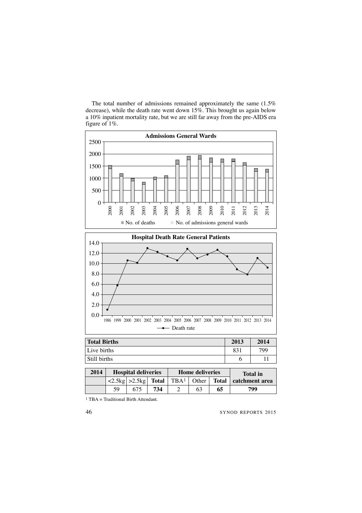

The total number of admissions remained approximately the same (1.5% decrease), while the death rate went down 15%. This brought us again below a 10% inpatient mortality rate, but we are still far away from the pre-AIDS era figure of 1%.

**2014 Hospital deliveries Home deliveries Total in**<br> **2.5kg**  $>$  **2.5kg Total TBA**<sup>1</sup> Other **Total catchment** a  $>2.5$ kg **Total** TBA<sup>1</sup> Other **Total** catchment area 59 675 **734** 2 63 **65 799**

1 TBA = Traditional Birth Attendant.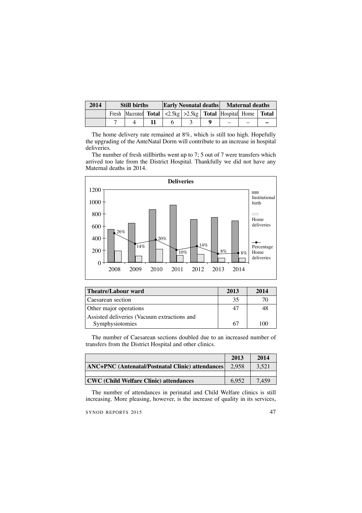| 2014 |                                                                   | <b>Still births</b> |  | Early Neonatal deaths<br>Maternal deaths |  |  |  |
|------|-------------------------------------------------------------------|---------------------|--|------------------------------------------|--|--|--|
|      | Fresh Macerated Total $ 2.5kg  > 2.5kg$ Total Hospital Home Total |                     |  |                                          |  |  |  |
|      |                                                                   |                     |  |                                          |  |  |  |

The home delivery rate remained at 8%, which is still too high. Hopefully the upgrading of the AnteNatal Dorm will contribute to an increase in hospital deliveries.

The number of fresh stillbirths went up to 7; 5 out of 7 were transfers which arrived too late from the District Hospital. Thankfully we did not have any Maternal deaths in 2014.



| Theatre/Labour ward                         | 2013 | 2014  |
|---------------------------------------------|------|-------|
| Caesarean section                           | 35   |       |
| Other major operations                      |      |       |
| Assisted deliveries (Vacuum extractions and |      |       |
| Symphysiotomies                             | 67   | 1 C M |

The number of Caesarean sections doubled due to an increased number of transfers from the District Hospital and other clinics.

|                                                  | 2013  | 2014  |
|--------------------------------------------------|-------|-------|
| ANC+PNC (Antenatal/Postnatal Clinic) attendances | 2.958 | 3.521 |
|                                                  |       |       |
| CWC (Child Welfare Clinic) attendances           | 6.952 | 7.459 |
|                                                  |       |       |

The number of attendances in perinatal and Child Welfare clinics is still increasing. More pleasing, however, is the increase of quality in its services,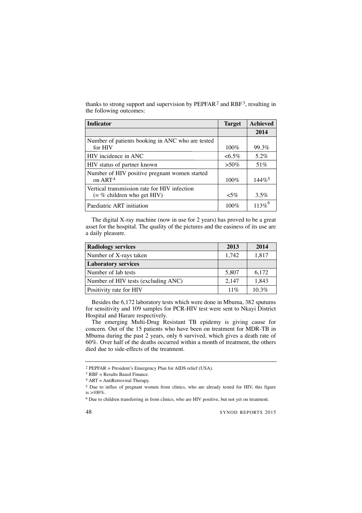thanks to strong support and supervision by  $PEPFAR<sup>2</sup>$  and  $RBF<sup>3</sup>$ , resulting in the following outcomes:

| <b>Indicator</b>                                                             | <b>Target</b> | <b>Achieved</b>      |
|------------------------------------------------------------------------------|---------------|----------------------|
|                                                                              |               | 2014                 |
| Number of patients booking in ANC who are tested<br>for HIV                  | $100\%$       | 99.3%                |
| HIV incidence in ANC                                                         | $<6.5\%$      | $5.2\%$              |
| HIV status of partner known                                                  | $> 50\%$      | 51\%                 |
| Number of HIV positive pregnant women started<br>on ART <sup>4</sup>         | $100\%$       | $144\%$ <sup>5</sup> |
| Vertical transmission rate for HIV infection<br>$(=\%$ children who get HIV) | $< 5\%$       | $3.5\%$              |
| Paediatric ART initiation                                                    | $100\%$       | $113\%$ <sup>6</sup> |

The digital X-ray machine (now in use for 2 years) has proved to be a great asset for the hospital. The quality of the pictures and the easiness of its use are a daily pleasure.

| <b>Radiology services</b>           | 2013   | 2014     |
|-------------------------------------|--------|----------|
| Number of X-rays taken              | 1,742  | 1,817    |
| <b>Laboratory services</b>          |        |          |
| Number of lab tests                 | 5,807  | 6,172    |
| Number of HIV tests (excluding ANC) | 2,147  | 1,843    |
| Positivity rate for HIV             | $11\%$ | $10.3\%$ |

Besides the 6,172 laboratory tests which were done in Mbuma, 382 sputums for sensitivity and 109 samples for PCR-HIV test were sent to Nkayi District Hospital and Harare respectively.

The emerging Multi-Drug Resistant TB epidemy is giving cause for concern. Out of the 15 patients who have been on treatment for MDR-TB in Mbuma during the past 2 years, only 6 survived, which gives a death rate of 60%. Over half of the deaths occurred within a month of treatment, the others died due to side-effects of the treatment.

<sup>2</sup> PEPFAR = President's Emergency Plan for AIDS relief (USA).

 $3$  RBF = Results Based Finance.

 $4$  ART = AntiRetroviral Therapy.

<sup>5</sup> Due to influx of pregnant women from clinics, who are already tested for HIV, this figure is >100%.

<sup>6</sup> Due to children transferring in from clinics, who are HIV positive, but not yet on treatment.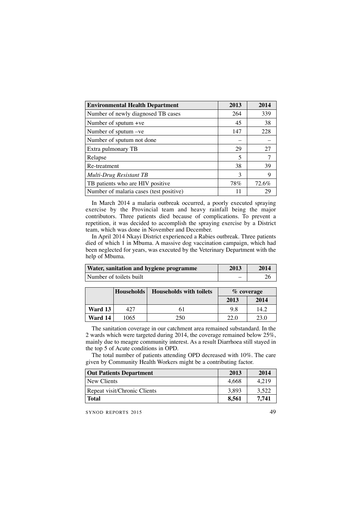| <b>Environmental Health Department</b>  | 2013 | 2014  |
|-----------------------------------------|------|-------|
| Number of newly diagnosed TB cases      | 264  | 339   |
| Number of sputum $+ve$                  | 45   | 38    |
| Number of sputum -ve                    | 147  | 228   |
| Number of sputum not done               |      |       |
| Extra pulmonary TB                      | 29   | 27    |
| Relapse                                 | 5    | 7     |
| Re-treatment                            | 38   | 39    |
| Multi-Drug Resistant TB                 | 3    | 9     |
| TB patients who are HIV positive        | 78%  | 72.6% |
| Number of malaria cases (test positive) | 11   | 29    |

In March 2014 a malaria outbreak occurred, a poorly executed spraying exercise by the Provincial team and heavy rainfall being the major contributors. Three patients died because of complications. To prevent a repetition, it was decided to accomplish the spraying exercise by a District team, which was done in November and December.

In April 2014 Nkayi District experienced a Rabies outbreak. Three patients died of which 1 in Mbuma. A massive dog vaccination campaign, which had been neglected for years, was executed by the Veterinary Department with the help of Mbuma.

| <b>Water, sanitation and hygiene programme</b> | 2013 | 2014 |
|------------------------------------------------|------|------|
| Number of toilets built                        |      |      |

|         | Households | <b>Households with toilets</b> | $%$ coverage |      |
|---------|------------|--------------------------------|--------------|------|
|         |            |                                | 2013         | 2014 |
| Ward 13 | 427        |                                | 9.8          | 14.2 |
| Ward 14 | 1065       | 250                            | 22.0         | 23.0 |

The sanitation coverage in our catchment area remained substandard. In the 2 wards which were targeted during 2014, the coverage remained below 25%, mainly due to meagre community interest. As a result Diarrhoea still stayed in the top 5 of Acute conditions in OPD.

The total number of patients attending OPD decreased with 10%. The care given by Community Health Workers might be a contributing factor.

| <b>Out Patients Department</b> | 2013  | 2014  |
|--------------------------------|-------|-------|
| New Clients                    | 4.668 | 4.219 |
| Repeat visit/Chronic Clients   | 3.893 | 3.522 |
| <b>Total</b>                   | 8.561 | 7.741 |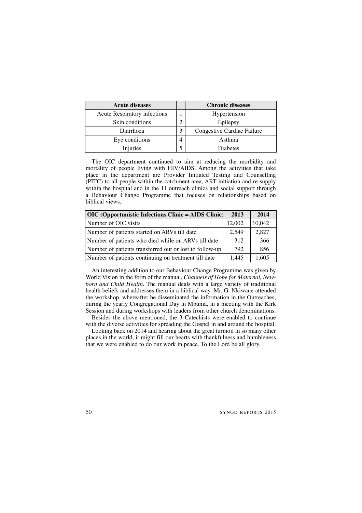| <b>Acute diseases</b>        |   | <b>Chronic diseases</b>    |
|------------------------------|---|----------------------------|
| Acute Respiratory infections |   | Hypertension               |
| Skin conditions              |   | Epilepsy                   |
| Diarrhoea                    | 3 | Congestive Cardiac Failure |
| Eye conditions               |   | Asthma                     |
| Injuries                     |   | <b>Diabetes</b>            |

The OIC department continued to aim at reducing the morbidity and mortality of people living with HIV/AIDS. Among the activities that take place in the department are Provider Initiated Testing and Counselling (PITC) to all people within the catchment area, ART initiation and re-supply within the hospital and in the 11 outreach clinics and social support through a Behaviour Change Programme that focuses on relationships based on biblical views.

| $ $ OIC (Opportunistic Infections Clinic = AIDS Clinic) | 2013   | 2014   |
|---------------------------------------------------------|--------|--------|
| Number of OIC visits                                    | 12,002 | 10,042 |
| Number of patients started on ARVs till date            | 2,549  | 2,827  |
| Number of patients who died while on ARVs till date     | 312    | 366    |
| Number of patients transferred out or lost to follow-up | 792    | 856    |
| Number of patients continuing on treatment till date    | 1.445  | 1,605  |

An interesting addition to our Behaviour Change Programme was given by World Vision in the form of the manual, *Channels of Hope for Maternal, Newborn and Child Health.* The manual deals with a large variety of traditional health beliefs and addresses them in a biblical way. Mr. G. Nkiwane attended the workshop, whereafter he disseminated the information in the Outreaches, during the yearly Congregational Day in Mbuma, in a meeting with the Kirk Session and during workshops with leaders from other church denominations.

Besides the above mentioned, the 3 Catechists were enabled to continue with the diverse activities for spreading the Gospel in and around the hospital.

Looking back on 2014 and hearing about the great turmoil in so many other places in the world, it might fill our hearts with thankfulness and humbleness that we were enabled to do our work in peace. To the Lord be all glory.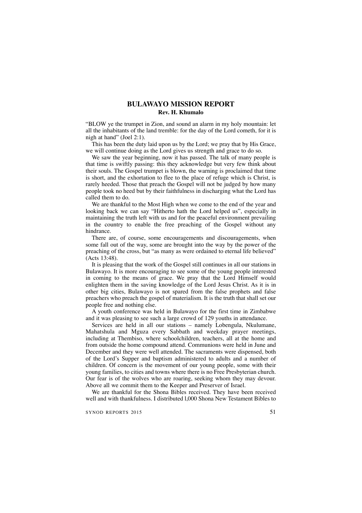## **BULAWAYO MISSION REPORT Rev. H. Khumalo**

"BLOW ye the trumpet in Zion, and sound an alarm in my holy mountain: let all the inhabitants of the land tremble: for the day of the Lord cometh, for it is nigh at hand" (Joel 2:1).

This has been the duty laid upon us by the Lord; we pray that by His Grace, we will continue doing as the Lord gives us strength and grace to do so.

We saw the year beginning, now it has passed. The talk of many people is that time is swiftly passing: this they acknowledge but very few think about their souls. The Gospel trumpet is blown, the warning is proclaimed that time is short, and the exhortation to flee to the place of refuge which is Christ, is rarely heeded. Those that preach the Gospel will not be judged by how many people took no heed but by their faithfulness in discharging what the Lord has called them to do.

We are thankful to the Most High when we come to the end of the year and looking back we can say "Hitherto hath the Lord helped us", especially in maintaining the truth left with us and for the peaceful environment prevailing in the country to enable the free preaching of the Gospel without any hindrance.

There are, of course, some encouragements and discouragements, when some fall out of the way, some are brought into the way by the power of the preaching of the cross, but "as many as were ordained to eternal life believed" (Acts 13:48).

It is pleasing that the work of the Gospel still continues in all our stations in Bulawayo. It is more encouraging to see some of the young people interested in coming to the means of grace. We pray that the Lord Himself would enlighten them in the saving knowledge of the Lord Jesus Christ. As it is in other big cities, Bulawayo is not spared from the false prophets and false preachers who preach the gospel of materialism. It is the truth that shall set our people free and nothing else.

A youth conference was held in Bulawayo for the first time in Zimbabwe and it was pleasing to see such a large crowd of 129 youths in attendance.

Services are held in all our stations – namely Lobengula, Nkulumane, Mahatshula and Mguza every Sabbath and weekday prayer meetings, including at Thembiso, where schoolchildren, teachers, all at the home and from outside the home compound attend. Communions were held in June and December and they were well attended. The sacraments were dispensed, both of the Lord's Supper and baptism administered to adults and a number of children. Of concern is the movement of our young people, some with their young families, to cities and towns where there is no Free Presbyterian church. Our fear is of the wolves who are roaring, seeking whom they may devour. Above all we commit them to the Keeper and Preserver of Israel.

We are thankful for the Shona Bibles received. They have been received well and with thankfulness. I distributed l,000 Shona New Testament Bibles to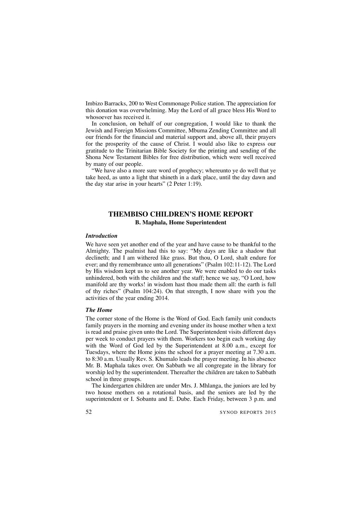Imbizo Barracks, 200 to West Commonage Police station. The appreciation for this donation was overwhelming. May the Lord of all grace bless His Word to whosoever has received it.

In conclusion, on behalf of our congregation, I would like to thank the Jewish and Foreign Missions Committee, Mbuma Zending Committee and all our friends for the financial and material support and, above all, their prayers for the prosperity of the cause of Christ. I would also like to express our gratitude to the Trinitarian Bible Society for the printing and sending of the Shona New Testament Bibles for free distribution, which were well received by many of our people.

"We have also a more sure word of prophecy; whereunto ye do well that ye take heed, as unto a light that shineth in a dark place, until the day dawn and the day star arise in your hearts" (2 Peter 1:19).

## **THEMBISO CHILDREN'S HOME REPORT B. Maphala, Home Superintendent**

### *Introduction*

We have seen yet another end of the year and have cause to be thankful to the Almighty. The psalmist had this to say: "My days are like a shadow that declineth; and I am withered like grass. But thou, O Lord, shalt endure for ever; and thy remembrance unto all generations" (Psalm 102:11-12). The Lord by His wisdom kept us to see another year. We were enabled to do our tasks unhindered, both with the children and the staff; hence we say, "O Lord, how manifold are thy works! in wisdom hast thou made them all: the earth is full of thy riches" (Psalm 104:24). On that strength, I now share with you the activities of the year ending 2014.

### *The Home*

The corner stone of the Home is the Word of God. Each family unit conducts family prayers in the morning and evening under its house mother when a text is read and praise given unto the Lord. The Superintendent visits different days per week to conduct prayers with them. Workers too begin each working day with the Word of God led by the Superintendent at 8.00 a.m., except for Tuesdays, where the Home joins the school for a prayer meeting at 7.30 a.m. to 8:30 a.m. Usually Rev. S. Khumalo leads the prayer meeting. In his absence Mr. B. Maphala takes over. On Sabbath we all congregate in the library for worship led by the superintendent. Thereafter the children are taken to Sabbath school in three groups.

The kindergarten children are under Mrs. J. Mhlanga, the juniors are led by two house mothers on a rotational basis, and the seniors are led by the superintendent or I. Sobantu and E. Dube. Each Friday, between 3 p.m. and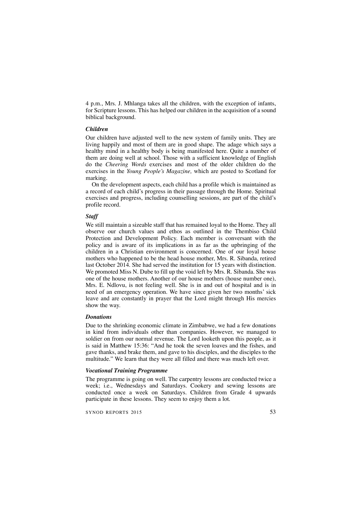4 p.m., Mrs. J. Mhlanga takes all the children, with the exception of infants, for Scripture lessons. This has helped our children in the acquisition of a sound biblical background.

### *Children*

Our children have adjusted well to the new system of family units. They are living happily and most of them are in good shape. The adage which says a healthy mind in a healthy body is being manifested here. Quite a number of them are doing well at school. Those with a sufficient knowledge of English do the *Cheering Words* exercises and most of the older children do the exercises in the *Young People's Magazine,* which are posted to Scotland for marking.

On the development aspects, each child has a profile which is maintained as a record of each child's progress in their passage through the Home. Spiritual exercises and progress, including counselling sessions, are part of the child's profile record.

#### *Staff*

We still maintain a sizeable staff that has remained loyal to the Home. They all observe our church values and ethos as outlined in the Thembiso Child Protection and Development Policy. Each member is conversant with the policy and is aware of its implications in as far as the upbringing of the children in a Christian environment is concerned. One of our loyal house mothers who happened to be the head house mother, Mrs. R. Sibanda, retired last October 2014. She had served the institution for 15 years with distinction. We promoted Miss N. Dube to fill up the void left by Mrs. R. Sibanda. She was one of the house mothers. Another of our house mothers (house number one), Mrs. E. Ndlovu, is not feeling well. She is in and out of hospital and is in need of an emergency operation. We have since given her two months' sick leave and are constantly in prayer that the Lord might through His mercies show the way.

### *Donations*

Due to the shrinking economic climate in Zimbabwe, we had a few donations in kind from individuals other than companies. However, we managed to soldier on from our normal revenue. The Lord looketh upon this people, as it is said in Matthew 15:36: "And he took the seven loaves and the fishes, and gave thanks, and brake them, and gave to his disciples, and the disciples to the multitude." We learn that they were all filled and there was much left over.

#### *Vocational Training Programme*

The programme is going on well. The carpentry lessons are conducted twice a week; i.e., Wednesdays and Saturdays. Cookery and sewing lessons are conducted once a week on Saturdays. Children from Grade 4 upwards participate in these lessons. They seem to enjoy them a lot.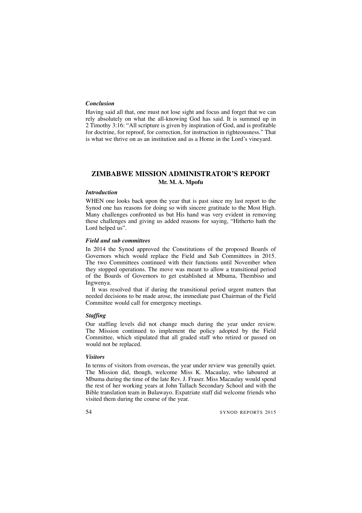### *Conclusion*

Having said all that, one must not lose sight and focus and forget that we can rely absolutely on what the all-knowing God has said. It is summed up in 2 Timothy 3:16: "All scripture is given by inspiration of God, and is profitable for doctrine, for reproof, for correction, for instruction in righteousness." That is what we thrive on as an institution and as a Home in the Lord's vineyard.

## **ZIMBABWE MISSION ADMINISTRATOR'S REPORT Mr. M. A. Mpofu**

#### *Introduction*

WHEN one looks back upon the year that is past since my last report to the Synod one has reasons for doing so with sincere gratitude to the Most High. Many challenges confronted us but His hand was very evident in removing these challenges and giving us added reasons for saying, "Hitherto hath the Lord helped us".

#### *Field and sub committees*

In 2014 the Synod approved the Constitutions of the proposed Boards of Governors which would replace the Field and Sub Committees in 2015. The two Committees continued with their functions until November when they stopped operations. The move was meant to allow a transitional period of the Boards of Governors to get established at Mbuma, Thembiso and Ingwenya.

It was resolved that if during the transitional period urgent matters that needed decisions to be made arose, the immediate past Chairman of the Field Committee would call for emergency meetings.

### *Staffing*

Our staffing levels did not change much during the year under review. The Mission continued to implement the policy adopted by the Field Committee, which stipulated that all graded staff who retired or passed on would not be replaced.

#### *Visitors*

In terms of visitors from overseas, the year under review was generally quiet. The Mission did, though, welcome Miss K. Macaulay, who laboured at Mbuma during the time of the late Rev. J. Fraser. Miss Macaulay would spend the rest of her working years at John Tallach Secondary School and with the Bible translation team in Bulawayo. Expatriate staff did welcome friends who visited them during the course of the year.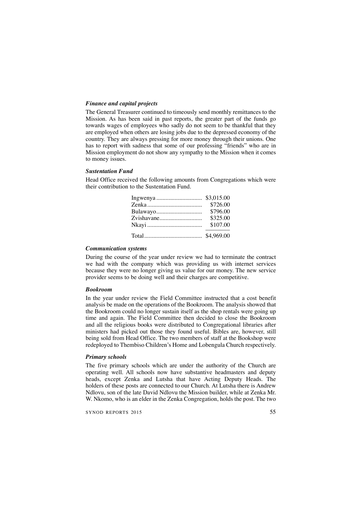#### *Finance and capital projects*

The General Treasurer continued to timeously send monthly remittances to the Mission. As has been said in past reports, the greater part of the funds go towards wages of employees who sadly do not seem to be thankful that they are employed when others are losing jobs due to the depressed economy of the country. They are always pressing for more money through their unions. One has to report with sadness that some of our professing "friends" who are in Mission employment do not show any sympathy to the Mission when it comes to money issues.

#### *Sustentation Fund*

Head Office received the following amounts from Congregations which were their contribution to the Sustentation Fund.

| \$726.00 |
|----------|
| \$796.00 |
| \$325.00 |
| \$107.00 |
|          |

#### *Communication systems*

During the course of the year under review we had to terminate the contract we had with the company which was providing us with internet services because they were no longer giving us value for our money. The new service provider seems to be doing well and their charges are competitive.

### *Bookroom*

In the year under review the Field Committee instructed that a cost benefit analysis be made on the operations of the Bookroom. The analysis showed that the Bookroom could no longer sustain itself as the shop rentals were going up time and again. The Field Committee then decided to close the Bookroom and all the religious books were distributed to Congregational libraries after ministers had picked out those they found useful. Bibles are, however, still being sold from Head Office. The two members of staff at the Bookshop were redeployed to Thembiso Children's Home and Lobengula Church respectively.

#### *Primary schools*

The five primary schools which are under the authority of the Church are operating well. All schools now have substantive headmasters and deputy heads, except Zenka and Lutsha that have Acting Deputy Heads. The holders of these posts are connected to our Church. At Lutsha there is Andrew Ndlovu, son of the late David Ndlovu the Mission builder, while at Zenka Mr. W. Nkomo, who is an elder in the Zenka Congregation, holds the post. The two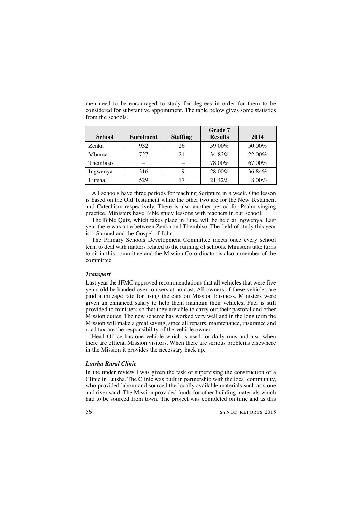| from the schools. |                  |                 |                           |        |
|-------------------|------------------|-----------------|---------------------------|--------|
| <b>School</b>     | <b>Enrolment</b> | <b>Staffing</b> | Grade 7<br><b>Results</b> | 2014   |
| Zenka             | 932              | 26              | 59.00%                    | 50.00% |

Mbuma | 727 | 21 | 34.83% | 22.00% Thembiso  $78.00\%$   $67.00\%$ Ingwenya 316 9 28.00% 36.84% Lutsha | 529 | 17 | 21.42% | 8.00%

men need to be encouraged to study for degrees in order for them to be considered for substantive appointment. The table below gives some statistics

All schools have three periods for teaching Scripture in a week. One lesson is based on the Old Testament while the other two are for the New Testament and Catechism respectively. There is also another period for Psalm singing practice. Ministers have Bible study lessons with teachers in our school.

The Bible Quiz, which takes place in June, will be held at Ingwenya. Last year there was a tie between Zenka and Thembiso. The field of study this year is 1 Samuel and the Gospel of John.

The Primary Schools Development Committee meets once every school term to deal with matters related to the running of schools. Ministers take turns to sit in this committee and the Mission Co-ordinator is also a member of the committee.

#### *Transport*

Last year the JFMC approved recommendations that all vehicles that were five years old be handed over to users at no cost. All owners of these vehicles are paid a mileage rate for using the cars on Mission business. Ministers were given an enhanced salary to help them maintain their vehicles. Fuel is still provided to ministers so that they are able to carry out their pastoral and other Mission duties. The new scheme has worked very well and in the long term the Mission will make a great saving, since all repairs, maintenance, insurance and road tax are the responsibility of the vehicle owner.

Head Office has one vehicle which is used for daily runs and also when there are official Mission visitors. When there are serious problems elsewhere in the Mission it provides the necessary back up.

#### *Lutsha Rural Clinic*

In the under review I was given the task of supervising the construction of a Clinic in Lutsha. The Clinic was built in partnership with the local community, who provided labour and sourced the locally available materials such as stone and river sand. The Mission provided funds for other building materials which had to be sourced from town. The project was completed on time and as this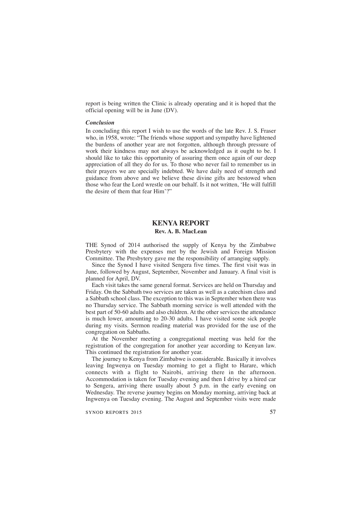report is being written the Clinic is already operating and it is hoped that the official opening will be in June (DV).

#### *Conclusion*

In concluding this report I wish to use the words of the late Rev. J. S. Fraser who, in 1958, wrote: "The friends whose support and sympathy have lightened the burdens of another year are not forgotten, although through pressure of work their kindness may not always be acknowledged as it ought to be. I should like to take this opportunity of assuring them once again of our deep appreciation of all they do for us. To those who never fail to remember us in their prayers we are specially indebted. We have daily need of strength and guidance from above and we believe these divine gifts are bestowed when those who fear the Lord wrestle on our behalf. Is it not written, 'He will fulfill the desire of them that fear Him'?"

### **KENYA REPORT Rev. A. B. MacLean**

THE Synod of 2014 authorised the supply of Kenya by the Zimbabwe Presbytery with the expenses met by the Jewish and Foreign Mission Committee. The Presbytery gave me the responsibility of arranging supply.

Since the Synod I have visited Sengera five times. The first visit was in June, followed by August, September, November and January. A final visit is planned for April, DV.

Each visit takes the same general format. Services are held on Thursday and Friday. On the Sabbath two services are taken as well as a catechism class and a Sabbath school class. The exception to this was in September when there was no Thursday service. The Sabbath morning service is well attended with the best part of 50-60 adults and also children. At the other services the attendance is much lower, amounting to 20-30 adults. I have visited some sick people during my visits. Sermon reading material was provided for the use of the congregation on Sabbaths.

At the November meeting a congregational meeting was held for the registration of the congregation for another year according to Kenyan law. This continued the registration for another year.

The journey to Kenya from Zimbabwe is considerable. Basically it involves leaving Ingwenya on Tuesday morning to get a flight to Harare, which connects with a flight to Nairobi, arriving there in the afternoon. Accommodation is taken for Tuesday evening and then I drive by a hired car to Sengera, arriving there usually about  $5$  p.m. in the early evening on Wednesday. The reverse journey begins on Monday morning, arriving back at Ingwenya on Tuesday evening. The August and September visits were made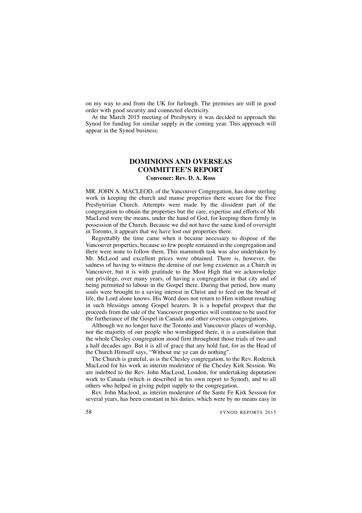on my way to and from the UK for furlough. The premises are still in good order with good security and connected electricity.

At the March 2015 meeting of Presbytery it was decided to approach the Synod for funding for similar supply in the coming year. This approach will appear in the Synod business.

## **DOMINIONS AND OVERSEAS COMMITTEE'S REPORT Convener: Rev. D. A. Ross**

MR. JOHN A. MACLEOD, of the Vancouver Congregation, has done sterling work in keeping the church and manse properties there secure for the Free Presbyterian Church. Attempts were made by the dissident part of the congregation to obtain the properties but the care, expertise and efforts of Mr. MacLeod were the means, under the hand of God, for keeping them firmly in possession of the Church. Because we did not have the same kind of oversight in Toronto, it appears that we have lost our properties there.

Regrettably the time came when it became necessary to dispose of the Vancouver properties, because so few people remained in the congregation and there were none to follow them. This mammoth task was also undertaken by Mr. McLeod and excellent prices were obtained. There is, however, the sadness of having to witness the demise of our long existence as a Church in Vancouver, but it is with gratitude to the Most High that we acknowledge our privilege, over many years, of having a congregation in that city and of being permitted to labour in the Gospel there. During that period, how many souls were brought to a saving interest in Christ and to feed on the bread of life, the Lord alone knows. His Word does not return to Him without resulting in such blessings among Gospel hearers. It is a hopeful prospect that the proceeds from the sale of the Vancouver properties will continue to be used for the furtherance of the Gospel in Canada and other overseas congregations.

Although we no longer have the Toronto and Vancouver places of worship, nor the majority of our people who worshipped there, it is a consolation that the whole Chesley congregation stood firm throughout those trials of two and a half decades ago. But it is all of grace that any hold fast, for as the Head of the Church Himself says, "Without me ye can do nothing".

The Church is grateful, as is the Chesley congregation, to the Rev. Roderick MacLeod for his work as interim moderator of the Chesley Kirk Session. We are indebted to the Rev. John MacLeod, London, for undertaking deputation work to Canada (which is described in his own report to Synod), and to all others who helped in giving pulpit supply to the congregation.

Rev. John Macleod, as interim moderator of the Sante Fe Kirk Session for several years, has been constant in his duties, which were by no means easy in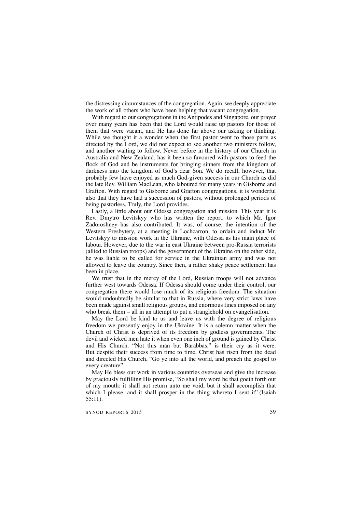the distressing circumstances of the congregation. Again, we deeply appreciate the work of all others who have been helping that vacant congregation.

With regard to our congregations in the Antipodes and Singapore, our prayer over many years has been that the Lord would raise up pastors for those of them that were vacant, and He has done far above our asking or thinking. While we thought it a wonder when the first pastor went to those parts as directed by the Lord, we did not expect to see another two ministers follow, and another waiting to follow. Never before in the history of our Church in Australia and New Zealand, has it been so favoured with pastors to feed the flock of God and be instruments for bringing sinners from the kingdom of darkness into the kingdom of God's dear Son. We do recall, however, that probably few have enjoyed as much God-given success in our Church as did the late Rev. William MacLean, who laboured for many years in Gisborne and Grafton. With regard to Gisborne and Grafton congregations, it is wonderful also that they have had a succession of pastors, without prolonged periods of being pastorless. Truly, the Lord provides.

Lastly, a little about our Odessa congregation and mission. This year it is Rev. Dmytro Levitskyy who has written the report, to which Mr. Igor Zadoroshney has also contributed. It was, of course, the intention of the Western Presbytery, at a meeting in Lochcarron, to ordain and induct Mr. Levitskyy to mission work in the Ukraine, with Odessa as his main place of labour. However, due to the war in east Ukraine between pro-Russia terrorists (allied to Russian troops) and the government of the Ukraine on the other side, he was liable to be called for service in the Ukrainian army and was not allowed to leave the country. Since then, a rather shaky peace settlement has been in place.

We trust that in the mercy of the Lord, Russian troops will not advance further west towards Odessa. If Odessa should come under their control, our congregation there would lose much of its religious freedom. The situation would undoubtedly be similar to that in Russia, where very strict laws have been made against small religious groups, and enormous fines imposed on any who break them – all in an attempt to put a stranglehold on evangelisation.

May the Lord be kind to us and leave us with the degree of religious freedom we presently enjoy in the Ukraine. It is a solemn matter when the Church of Christ is deprived of its freedom by godless governments. The devil and wicked men hate it when even one inch of ground is gained by Christ and His Church. "Not this man but Barabbas," is their cry as it were. But despite their success from time to time, Christ has risen from the dead and directed His Church, "Go ye into all the world, and preach the gospel to every creature".

May He bless our work in various countries overseas and give the increase by graciously fulfilling His promise, "So shall my word be that goeth forth out of my mouth: it shall not return unto me void, but it shall accomplish that which I please, and it shall prosper in the thing whereto I sent it" (Isaiah 55:11).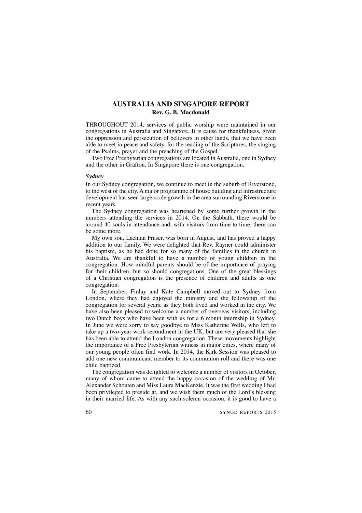## **AUSTRALIA AND SINGAPORE REPORT Rev. G. B. Macdonald**

THROUGHOUT 2014, services of public worship were maintained in our congregations in Australia and Singapore. It is cause for thankfulness, given the oppression and persecution of believers in other lands, that we have been able to meet in peace and safety, for the reading of the Scriptures, the singing of the Psalms, prayer and the preaching of the Gospel.

Two Free Presbyterian congregations are located in Australia, one in Sydney and the other in Grafton. In Singapore there is one congregation.

#### *Sydney*

In our Sydney congregation, we continue to meet in the suburb of Riverstone, to the west of the city. A major programme of house building and infrastructure development has seen large-scale growth in the area surrounding Riverstone in recent years.

The Sydney congregation was heartened by some further growth in the numbers attending the services in 2014. On the Sabbath, there would be around 40 souls in attendance and, with visitors from time to time, there can be some more.

My own son, Lachlan Fraser, was born in August, and has proved a happy addition to our family. We were delighted that Rev. Rayner could administer his baptism, as he had done for so many of the families in the church in Australia. We are thankful to have a number of young children in the congregation. How mindful parents should be of the importance of praying for their children, but so should congregations. One of the great blessings of a Christian congregation is the presence of children and adults as one congregation.

In September, Finlay and Kate Campbell moved out to Sydney from London, where they had enjoyed the ministry and the fellowship of the congregation for several years, as they both lived and worked in the city. We have also been pleased to welcome a number of overseas visitors, including two Dutch boys who have been with us for a 6 month internship in Sydney. In June we were sorry to say goodbye to Miss Katherine Wells, who left to take up a two-year work secondment in the UK, but are very pleased that she has been able to attend the London congregation. These movements highlight the importance of a Free Presbyterian witness in major cities, where many of our young people often find work. In 2014, the Kirk Session was pleased to add one new communicant member to its communion roll and there was one child baptized.

The congregation was delighted to welcome a number of visitors in October, many of whom came to attend the happy occasion of the wedding of Mr. Alexander Schouten and Miss Laura MacKenzie. It was the first wedding I had been privileged to preside at, and we wish them much of the Lord's blessing in their married life. As with any such solemn occasion, it is good to have a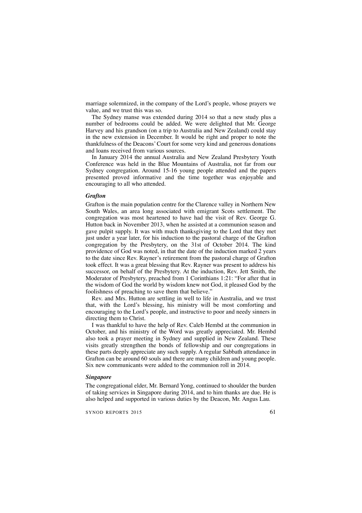marriage solemnized, in the company of the Lord's people, whose prayers we value, and we trust this was so.

The Sydney manse was extended during 2014 so that a new study plus a number of bedrooms could be added. We were delighted that Mr. George Harvey and his grandson (on a trip to Australia and New Zealand) could stay in the new extension in December. It would be right and proper to note the thankfulness of the Deacons'Court for some very kind and generous donations and loans received from various sources.

In January 2014 the annual Australia and New Zealand Presbytery Youth Conference was held in the Blue Mountains of Australia, not far from our Sydney congregation. Around 15-16 young people attended and the papers presented proved informative and the time together was enjoyable and encouraging to all who attended.

#### *Grafton*

Grafton is the main population centre for the Clarence valley in Northern New South Wales, an area long associated with emigrant Scots settlement. The congregation was most heartened to have had the visit of Rev. George G. Hutton back in November 2013, when he assisted at a communion season and gave pulpit supply. It was with much thanksgiving to the Lord that they met just under a year later, for his induction to the pastoral charge of the Grafton congregation by the Presbytery, on the 31st of October 2014. The kind providence of God was noted, in that the date of the induction marked 2 years to the date since Rev. Rayner's retirement from the pastoral charge of Grafton took effect. It was a great blessing that Rev. Rayner was present to address his successor, on behalf of the Presbytery. At the induction, Rev. Jett Smith, the Moderator of Presbytery, preached from 1 Corinthians 1:21: "For after that in the wisdom of God the world by wisdom knew not God, it pleased God by the foolishness of preaching to save them that believe."

Rev. and Mrs. Hutton are settling in well to life in Australia, and we trust that, with the Lord's blessing, his ministry will be most comforting and encouraging to the Lord's people, and instructive to poor and needy sinners in directing them to Christ.

I was thankful to have the help of Rev. Caleb Hembd at the communion in October, and his ministry of the Word was greatly appreciated. Mr. Hembd also took a prayer meeting in Sydney and supplied in New Zealand. These visits greatly strengthen the bonds of fellowship and our congregations in these parts deeply appreciate any such supply. A regular Sabbath attendance in Grafton can be around 60 souls and there are many children and young people. Six new communicants were added to the communion roll in 2014.

#### *Singapore*

The congregational elder, Mr. Bernard Yong, continued to shoulder the burden of taking services in Singapore during 2014, and to him thanks are due. He is also helped and supported in various duties by the Deacon, Mr. Angus Lau.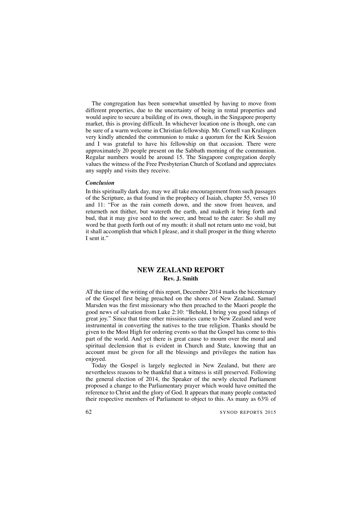The congregation has been somewhat unsettled by having to move from different properties, due to the uncertainty of being in rental properties and would aspire to secure a building of its own, though, in the Singapore property market, this is proving difficult. In whichever location one is though, one can be sure of a warm welcome in Christian fellowship. Mr. Cornell van Kralingen very kindly attended the communion to make a quorum for the Kirk Session and I was grateful to have his fellowship on that occasion. There were approximately 20 people present on the Sabbath morning of the communion. Regular numbers would be around 15. The Singapore congregation deeply values the witness of the Free Presbyterian Church of Scotland and appreciates any supply and visits they receive.

#### *Conclusion*

In this spiritually dark day, may we all take encouragement from such passages of the Scripture, as that found in the prophecy of Isaiah, chapter 55, verses 10 and 11: "For as the rain cometh down, and the snow from heaven, and returneth not thither, but watereth the earth, and maketh it bring forth and bud, that it may give seed to the sower, and bread to the eater: So shall my word be that goeth forth out of my mouth: it shall not return unto me void, but it shall accomplish that which I please, and it shall prosper in the thing whereto I sent it."

## **NEW ZEALAND REPORT Rev. J. Smith**

AT the time of the writing of this report, December 2014 marks the bicentenary of the Gospel first being preached on the shores of New Zealand. Samuel Marsden was the first missionary who then preached to the Maori people the good news of salvation from Luke 2:10: "Behold, I bring you good tidings of great joy." Since that time other missionaries came to New Zealand and were instrumental in converting the natives to the true religion. Thanks should be given to the Most High for ordering events so that the Gospel has come to this part of the world. And yet there is great cause to mourn over the moral and spiritual declension that is evident in Church and State, knowing that an account must be given for all the blessings and privileges the nation has enjoyed.

Today the Gospel is largely neglected in New Zealand, but there are nevertheless reasons to be thankful that a witness is still preserved. Following the general election of 2014, the Speaker of the newly elected Parliament proposed a change to the Parliamentary prayer which would have omitted the reference to Christ and the glory of God. It appears that many people contacted their respective members of Parliament to object to this. As many as 63% of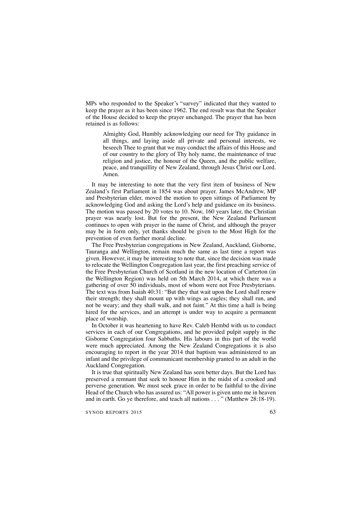MPs who responded to the Speaker's "survey" indicated that they wanted to keep the prayer as it has been since 1962. The end result was that the Speaker of the House decided to keep the prayer unchanged. The prayer that has been retained is as follows:

Almighty God, Humbly acknowledging our need for Thy guidance in all things, and laying aside all private and personal interests, we beseech Thee to grant that we may conduct the affairs of this House and of our country to the glory of Thy holy name, the maintenance of true religion and justice, the honour of the Queen, and the public welfare, peace, and tranquillity of New Zealand, through Jesus Christ our Lord. Amen.

It may be interesting to note that the very first item of business of New Zealand's first Parliament in 1854 was about prayer. James McAndrew, MP and Presbyterian elder, moved the motion to open sittings of Parliament by acknowledging God and asking the Lord's help and guidance on its business. The motion was passed by 20 votes to 10. Now, 160 years later, the Christian prayer was nearly lost. But for the present, the New Zealand Parliament continues to open with prayer in the name of Christ, and although the prayer may be in form only, yet thanks should be given to the Most High for the prevention of even further moral decline.

The Free Presbyterian congregations in New Zealand, Auckland, Gisborne, Tauranga and Wellington, remain much the same as last time a report was given. However, it may be interesting to note that, since the decision was made to relocate the Wellington Congregation last year, the first preaching service of the Free Presbyterian Church of Scotland in the new location of Carterton (in the Wellington Region) was held on 5th March 2014, at which there was a gathering of over 50 individuals, most of whom were not Free Presbyterians. The text was from Isaiah 40:31: "But they that wait upon the Lord shall renew their strength; they shall mount up with wings as eagles; they shall run, and not be weary; and they shall walk, and not faint." At this time a hall is being hired for the services, and an attempt is under way to acquire a permanent place of worship.

In October it was heartening to have Rev. Caleb Hembd with us to conduct services in each of our Congregations, and he provided pulpit supply in the Gisborne Congregation four Sabbaths. His labours in this part of the world were much appreciated. Among the New Zealand Congregations it is also encouraging to report in the year 2014 that baptism was administered to an infant and the privilege of communicant membership granted to an adult in the Auckland Congregation.

It is true that spiritually New Zealand has seen better days. But the Lord has preserved a remnant that seek to honour Him in the midst of a crooked and perverse generation. We must seek grace in order to be faithful to the divine Head of the Church who has assured us: "All power is given unto me in heaven and in earth. Go ye therefore, and teach all nations . . . " (Matthew 28:18-19).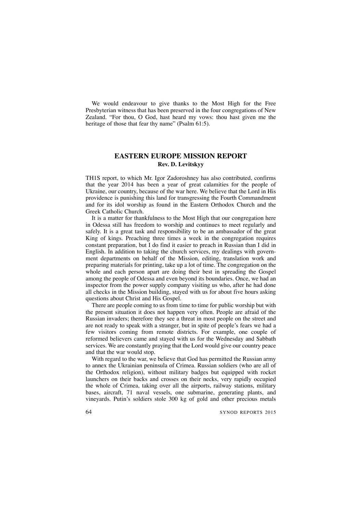We would endeavour to give thanks to the Most High for the Free Presbyterian witness that has been preserved in the four congregations of New Zealand. "For thou, O God, hast heard my vows: thou hast given me the heritage of those that fear thy name" (Psalm 61:5).

## **EASTERN EUROPE MISSION REPORT Rev. D. Levitskyy**

TH1S report, to which Mr. Igor Zadoroshney has also contributed, confirms that the year 2014 has been a year of great calamities for the people of Ukraine, our country, because of the war here. We believe that the Lord in His providence is punishing this land for transgressing the Fourth Commandment and for its idol worship as found in the Eastern Orthodox Church and the Greek Catholic Church.

It is a matter for thankfulness to the Most High that our congregation here in Odessa still has freedom to worship and continues to meet regularly and safely. It is a great task and responsibility to be an ambassador of the great King of kings. Preaching three times a week in the congregation requires constant preparation, but I do find it easier to preach in Russian than I did in English. In addition to taking the church services, my dealings with government departments on behalf of the Mission, editing, translation work and preparing materials for printing, take up a lot of time. The congregation on the whole and each person apart are doing their best in spreading the Gospel among the people of Odessa and even beyond its boundaries. Once, we had an inspector from the power supply company visiting us who, after he had done all checks in the Mission building, stayed with us for about five hours asking questions about Christ and His Gospel.

There are people coming to us from time to time for public worship but with the present situation it does not happen very often. People are afraid of the Russian invaders; therefore they see a threat in most people on the street and are not ready to speak with a stranger, but in spite of people's fears we had a few visitors coming from remote districts. For example, one couple of reformed believers came and stayed with us for the Wednesday and Sabbath services. We are constantly praying that the Lord would give our country peace and that the war would stop.

With regard to the war, we believe that God has permitted the Russian army to annex the Ukrainian peninsula of Crimea. Russian soldiers (who are all of the Orthodox religion), without military badges but equipped with rocket launchers on their backs and crosses on their necks, very rapidly occupied the whole of Crimea, taking over all the airports, railway stations, military bases, aircraft, 71 naval vessels, one submarine, generating plants, and vineyards. Putin's soldiers stole 300 kg of gold and other precious metals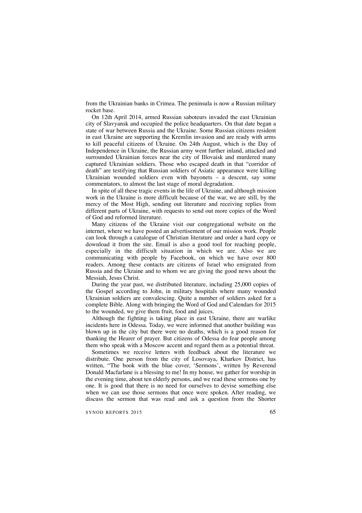from the Ukrainian banks in Crimea. The peninsula is now a Russian military rocket base.

On 12th April 2014, armed Russian saboteurs invaded the east Ukrainian city of Slavyansk and occupied the police headquarters. On that date began a state of war between Russia and the Ukraine. Some Russian citizens resident in east Ukraine are supporting the Kremlin invasion and are ready with arms to kill peaceful citizens of Ukraine. On 24th August, which is the Day of Independence in Ukraine, the Russian army went further inland, attacked and surrounded Ukrainian forces near the city of Illovaisk and murdered many captured Ukrainian soldiers. Those who escaped death in that "corridor of death" are testifying that Russian soldiers of Asiatic appearance were killing Ukrainian wounded soldiers even with bayonets – a descent, say some commentators, to almost the last stage of moral degradation.

In spite of all these tragic events in the life of Ukraine, and although mission work in the Ukraine is more difficult because of the war, we are still, by the mercy of the Most High, sending out literature and receiving replies from different parts of Ukraine, with requests to send out more copies of the Word of God and reformed literature.

Many citizens of the Ukraine visit our congregational website on the internet, where we have posted an advertisement of our mission work. People can look through a catalogue of Christian literature and order a hard copy or download it from the site. Email is also a good tool for reaching people, especially in the difficult situation in which we are. Also we are communicating with people by Facebook, on which we have over 800 readers. Among these contacts are citizens of Israel who emigrated from Russia and the Ukraine and to whom we are giving the good news about the Messiah, Jesus Christ.

During the year past, we distributed literature, including 25,000 copies of the Gospel according to John, in military hospitals where many wounded Ukrainian soldiers are convalescing. Quite a number of soldiers asked for a complete Bible. Along with bringing the Word of God and Calendars for 2015 to the wounded, we give them fruit, food and juices.

Although the fighting is taking place in east Ukraine, there are warlike incidents here in Odessa. Today, we were informed that another building was blown up in the city but there were no deaths, which is a good reason for thanking the Hearer of prayer. But citizens of Odessa do fear people among them who speak with a Moscow accent and regard them as a potential threat.

Sometimes we receive letters with feedback about the literature we distribute. One person from the city of Losovaya, Kharkov District, has written, "The book with the blue cover, 'Sermons', written by Reverend Donald Macfarlane is a blessing to me! In my house, we gather for worship in the evening time, about ten elderly persons, and we read these sermons one by one. It is good that there is no need for ourselves to devise something else when we can use those sermons that once were spoken. After reading, we discuss the sermon that was read and ask a question from the Shorter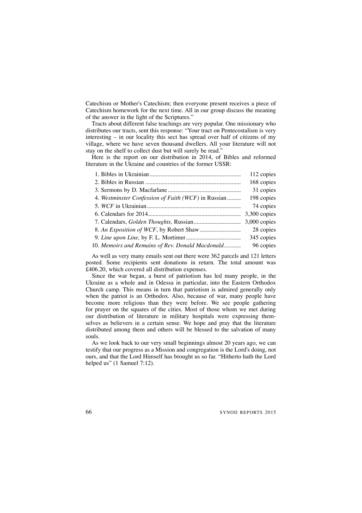Catechism or Mother's Catechism; then everyone present receives a piece of Catechism homework for the next time. All in our group discuss the meaning of the answer in the light of the Scriptures."

Tracts about different false teachings are very popular. One missionary who distributes our tracts, sent this response: "Your tract on Pentecostalism is very interesting – in our locality this sect has spread over half of citizens of my village, where we have seven thousand dwellers. All your literature will not stay on the shelf to collect dust but will surely be read."

Here is the report on our distribution in 2014, of Bibles and reformed literature in the Ukraine and countries of the former USSR:

|                                                     | 112 copies   |
|-----------------------------------------------------|--------------|
|                                                     | 168 copies   |
|                                                     | 31 copies    |
| 4. Westminster Confession of Faith (WCF) in Russian | 198 copies   |
|                                                     | 74 copies    |
|                                                     | 3,300 copies |
|                                                     | 3,000 copies |
|                                                     | 28 copies    |
|                                                     | 345 copies   |
| 10. Memoirs and Remains of Rev. Donald Macdonald    | 96 copies    |
|                                                     |              |

As well as very many emails sent out there were 362 parcels and 121 letters posted. Some recipients sent donations in return. The total amount was £406.20, which covered all distribution expenses.

Since the war began, a burst of patriotism has led many people, in the Ukraine as a whole and in Odessa in particular, into the Eastern Orthodox Church camp. This means in turn that patriotism is admired generally only when the patriot is an Orthodox. Also, because of war, many people have become more religious than they were before. We see people gathering for prayer on the squares of the cities. Most of those whom we met during our distribution of literature in military hospitals were expressing themselves as believers in a certain sense. We hope and pray that the literature distributed among them and others will be blessed to the salvation of many souls.

As we look back to our very small beginnings almost 20 years ago, we can testify that our progress as a Mission and congregation is the Lord's doing, not ours, and that the Lord Himself has brought us so far. "Hitherto hath the Lord helped us" (1 Samuel 7:12).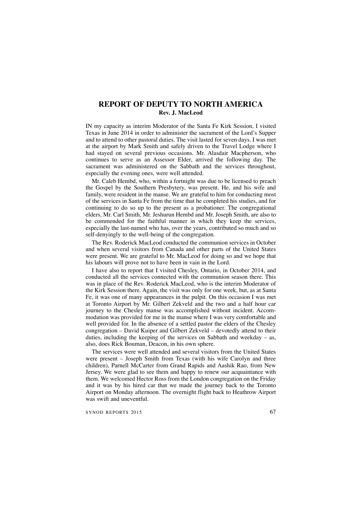## **REPORT OF DEPUTY TO NORTH AMERICA Rev. J. MacLeod**

IN my capacity as interim Moderator of the Santa Fe Kirk Session, I visited Texas in June 2014 in order to administer the sacrament of the Lord's Supper and to attend to other pastoral duties. The visit lasted for seven days. I was met at the airport by Mark Smith and safely driven to the Travel Lodge where I had stayed on several previous occasions. Mr. Alasdair Macpherson, who continues to serve as an Assessor Elder, arrived the following day. The sacrament was administered on the Sabbath and the services throughout, especially the evening ones, were well attended.

Mr. Caleb Hembd, who, within a fortnight was due to be licensed to preach the Gospel by the Southern Presbytery, was present. He, and his wife and family, were resident in the manse. We are grateful to him for conducting most of the services in Santa Fe from the time that he completed his studies, and for continuing to do so up to the present as a probationer. The congregational elders, Mr. Carl Smith, Mr. Jeshurun Hembd and Mr. Joseph Smith, are also to be commended for the faithful manner in which they keep the services, especially the last-named who has, over the years, contributed so much and so self-denyingly to the well-being of the congregation.

The Rev. Roderick MacLeod conducted the communion services in October and when several visitors from Canada and other parts of the United States were present. We are grateful to Mr. MacLeod for doing so and we hope that his labours will prove not to have been in vain in the Lord.

I have also to report that I visited Chesley, Ontario, in October 2014, and conducted all the services connected with the communion season there. This was in place of the Rev. Roderick MacLeod, who is the interim Moderator of the Kirk Session there. Again, the visit was only for one week, but, as at Santa Fe, it was one of many appearances in the pulpit. On this occasion I was met at Toronto Airport by Mr. Gilbert Zekveld and the two and a half hour car journey to the Chesley manse was accomplished without incident. Accommodation was provided for me in the manse where I was very comfortable and well provided for. In the absence of a settled pastor the elders of the Chesley congregation – David Kuiper and Gilbert Zekveld – devotedly attend to their duties, including the keeping of the services on Sabbath and weekday – as, also, does Rick Bouman, Deacon, in his own sphere.

The services were well attended and several visitors from the United States were present – Joseph Smith from Texas (with his wife Carolyn and three children), Parnell McCarter from Grand Rapids and Aashik Rao, from New Jersey. We were glad to see them and happy to renew our acquaintance with them. We welcomed Hector Ross from the London congregation on the Friday and it was by his hired car that we made the journey back to the Toronto Airport on Monday afternoon. The overnight flight back to Heathrow Airport was swift and uneventful.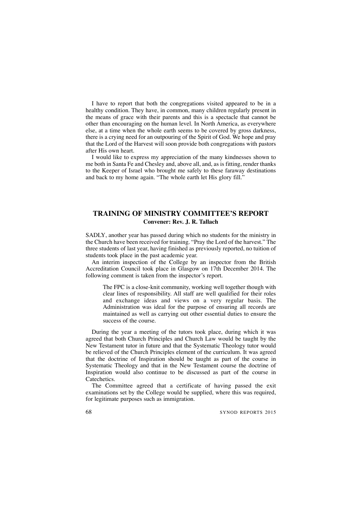I have to report that both the congregations visited appeared to be in a healthy condition. They have, in common, many children regularly present in the means of grace with their parents and this is a spectacle that cannot be other than encouraging on the human level. In North America, as everywhere else, at a time when the whole earth seems to be covered by gross darkness, there is a crying need for an outpouring of the Spirit of God. We hope and pray that the Lord of the Harvest will soon provide both congregations with pastors after His own heart.

I would like to express my appreciation of the many kindnesses shown to me both in Santa Fe and Chesley and, above all, and, as is fitting, render thanks to the Keeper of Israel who brought me safely to these faraway destinations and back to my home again. "The whole earth let His glory fill."

## **TRAINING OF MINISTRY COMMITTEE'S REPORT Convener: Rev. J. R. Tallach**

SADLY, another year has passed during which no students for the ministry in the Church have been received for training. "Pray the Lord of the harvest." The three students of last year, having finished as previously reported, no tuition of students took place in the past academic year.

An interim inspection of the College by an inspector from the British Accreditation Council took place in Glasgow on 17th December 2014. The following comment is taken from the inspector's report.

The FPC is a close-knit community, working well together though with clear lines of responsibility. All staff are well qualified for their roles and exchange ideas and views on a very regular basis. The Administration was ideal for the purpose of ensuring all records are maintained as well as carrying out other essential duties to ensure the success of the course.

During the year a meeting of the tutors took place, during which it was agreed that both Church Principles and Church Law would be taught by the New Testament tutor in future and that the Systematic Theology tutor would be relieved of the Church Principles element of the curriculum. It was agreed that the doctrine of Inspiration should be taught as part of the course in Systematic Theology and that in the New Testament course the doctrine of Inspiration would also continue to be discussed as part of the course in Catechetics.

The Committee agreed that a certificate of having passed the exit examinations set by the College would be supplied, where this was required, for legitimate purposes such as immigration.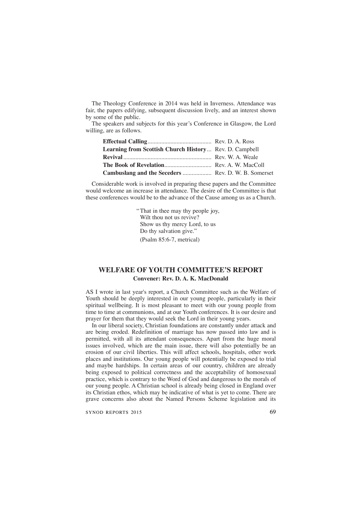The Theology Conference in 2014 was held in Inverness. Attendance was fair, the papers edifying, subsequent discussion lively, and an interest shown by some of the public.

The speakers and subjects for this year's Conference in Glasgow, the Lord willing, are as follows.

| Learning from Scottish Church History Rev. D. Campbell |  |
|--------------------------------------------------------|--|
|                                                        |  |
|                                                        |  |
| Cambuslang and the Seceders  Rev. D. W. B. Somerset    |  |

Considerable work is involved in preparing these papers and the Committee would welcome an increase in attendance. The desire of the Committee is that these conferences would be to the advance of the Cause among us as a Church.

> "That in thee may thy people joy, Wilt thou not us revive? Show us thy mercy Lord, to us Do thy salvation give." (Psalm 85:6-7, metrical)

## **WELFARE OF YOUTH COMMITTEE'S REPORT Convener: Rev. D. A. K. MacDonald**

AS I wrote in last year's report, a Church Committee such as the Welfare of Youth should be deeply interested in our young people, particularly in their spiritual wellbeing. It is most pleasant to meet with our young people from time to time at communions, and at our Youth conferences. It is our desire and prayer for them that they would seek the Lord in their young years.

In our liberal society, Christian foundations are constantly under attack and are being eroded. Redefinition of marriage has now passed into law and is permitted, with all its attendant consequences. Apart from the huge moral issues involved, which are the main issue, there will also potentially be an erosion of our civil liberties. This will affect schools, hospitals, other work places and institutions. Our young people will potentially be exposed to trial and maybe hardships. In certain areas of our country, children are already being exposed to political correctness and the acceptability of homosexual practice, which is contrary to the Word of God and dangerous to the morals of our young people. A Christian school is already being closed in England over its Christian ethos, which may be indicative of what is yet to come. There are grave concerns also about the Named Persons Scheme legislation and its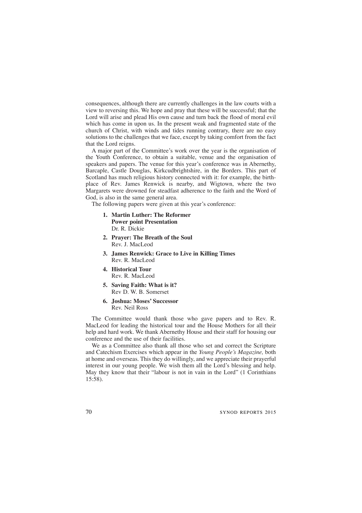consequences, although there are currently challenges in the law courts with a view to reversing this. We hope and pray that these will be successful; that the Lord will arise and plead His own cause and turn back the flood of moral evil which has come in upon us. In the present weak and fragmented state of the church of Christ, with winds and tides running contrary, there are no easy solutions to the challenges that we face, except by taking comfort from the fact that the Lord reigns.

A major part of the Committee's work over the year is the organisation of the Youth Conference, to obtain a suitable, venue and the organisation of speakers and papers. The venue for this year's conference was in Abernethy, Barcaple, Castle Douglas, Kirkcudbrightshire, in the Borders. This part of Scotland has much religious history connected with it: for example, the birthplace of Rev. James Renwick is nearby, and Wigtown, where the two Margarets were drowned for steadfast adherence to the faith and the Word of God, is also in the same general area.

The following papers were given at this year's conference:

- **1. Martin Luther: The Reformer Power point Presentation** Dr. R. Dickie
- **2. Prayer: The Breath of the Soul** Rev. J. MacLeod
- **3. James Renwick: Grace to Live in Killing Times** Rev. R. MacLeod
- **4. Historical Tour** Rev. R. MacLeod
- **5. Saving Faith: What is it?** Rev D. W. B. Somerset
- **6. Joshua: Moses' Successor** Rev. Neil Ross

The Committee would thank those who gave papers and to Rev. R. MacLeod for leading the historical tour and the House Mothers for all their help and hard work. We thank Abernethy House and their staff for housing our conference and the use of their facilities.

We as a Committee also thank all those who set and correct the Scripture and Catechism Exercises which appear in the *Young People's Magazine,* both at home and overseas. This they do willingly, and we appreciate their prayerful interest in our young people. We wish them all the Lord's blessing and help. May they know that their "labour is not in vain in the Lord" (1 Corinthians 15:58).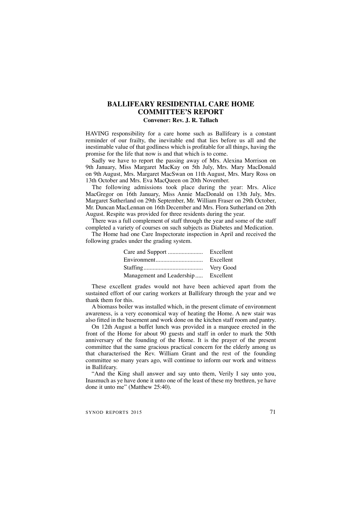## **BALLIFEARY RESIDENTIAL CARE HOME COMMITTEE'S REPORT**

## **Convener: Rev. J. R. Tallach**

HAVING responsibility for a care home such as Ballifeary is a constant reminder of our frailty, the inevitable end that lies before us all and the inestimable value of that godliness which is profitable for all things, having the promise for the life that now is and that which is to come.

Sadly we have to report the passing away of Mrs. Alexina Morrison on 9th January, Miss Margaret MacKay on 5th July, Mrs. Mary MacDonald on 9th August, Mrs. Margaret MacSwan on 11th August, Mrs. Mary Ross on 13th October and Mrs. Eva MacQueen on 20th November.

The following admissions took place during the year: Mrs. Alice MacGregor on 16th January, Miss Annie MacDonald on 13th July, Mrs. Margaret Sutherland on 29th September, Mr. William Fraser on 29th October, Mr. Duncan MacLennan on 16th December and Mrs. Flora Sutherland on 20th August. Respite was provided for three residents during the year.

There was a full complement of staff through the year and some of the staff completed a variety of courses on such subjects as Diabetes and Medication.

The Home had one Care Inspectorate inspection in April and received the following grades under the grading system.

|                                     | Excellent |
|-------------------------------------|-----------|
|                                     | Excellent |
|                                     | Very Good |
| Management and Leadership Excellent |           |

These excellent grades would not have been achieved apart from the sustained effort of our caring workers at Ballifeary through the year and we thank them for this.

A biomass boiler was installed which, in the present climate of environment awareness, is a very economical way of heating the Home. A new stair was also fitted in the basement and work done on the kitchen staff room and pantry.

On 12th August a buffet lunch was provided in a marquee erected in the front of the Home for about 90 guests and staff in order to mark the 50th anniversary of the founding of the Home. It is the prayer of the present committee that the same gracious practical concern for the elderly among us that characterised the Rev. William Grant and the rest of the founding committee so many years ago, will continue to inform our work and witness in Ballifeary.

"And the King shall answer and say unto them, Verily I say unto you, Inasmuch as ye have done it unto one of the least of these my brethren, ye have done it unto me" (Matthew 25:40).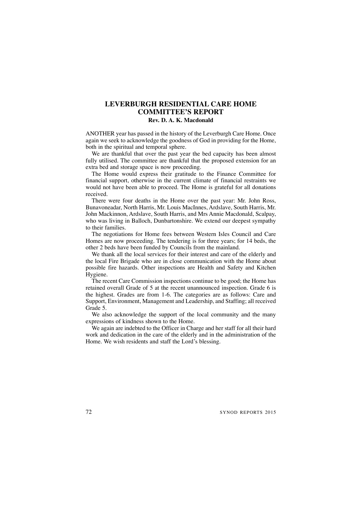## **LEVERBURGH RESIDENTIAL CARE HOME COMMITTEE'S REPORT**

## **Rev. D. A. K. Macdonald**

ANOTHER year has passed in the history of the Leverburgh Care Home. Once again we seek to acknowledge the goodness of God in providing for the Home, both in the spiritual and temporal sphere.

We are thankful that over the past year the bed capacity has been almost fully utilised. The committee are thankful that the proposed extension for an extra bed and storage space is now proceeding.

The Home would express their gratitude to the Finance Committee for financial support, otherwise in the current climate of financial restraints we would not have been able to proceed. The Home is grateful for all donations received.

There were four deaths in the Home over the past year: Mr. John Ross, Bunavoneadar, North Harris, Mr. Louis MacInnes, Ardslave, South Harris, Mr. John Mackinnon, Ardslave, South Harris, and Mrs Annie Macdonald, Scalpay, who was living in Balloch, Dunbartonshire. We extend our deepest sympathy to their families.

The negotiations for Home fees between Western Isles Council and Care Homes are now proceeding. The tendering is for three years; for 14 beds, the other 2 beds have been funded by Councils from the mainland.

We thank all the local services for their interest and care of the elderly and the local Fire Brigade who are in close communication with the Home about possible fire hazards. Other inspections are Health and Safety and Kitchen Hygiene.

The recent Care Commission inspections continue to be good; the Home has retained overall Grade of 5 at the recent unannounced inspection. Grade 6 is the highest. Grades are from 1-6. The categories are as follows: Care and Support, Environment, Management and Leadership, and Staffing; all received Grade 5.

We also acknowledge the support of the local community and the many expressions of kindness shown to the Home.

We again are indebted to the Officer in Charge and her staff for all their hard work and dedication in the care of the elderly and in the administration of the Home. We wish residents and staff the Lord's blessing.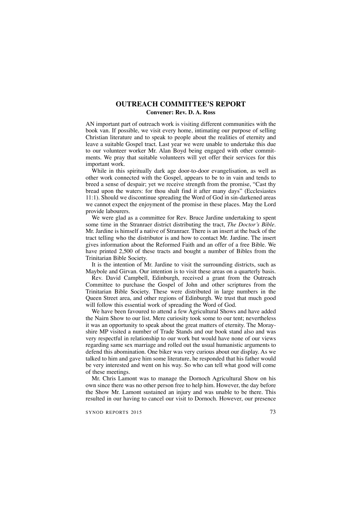## **OUTREACH COMMITTEE'S REPORT Convener: Rev. D. A. Ross**

AN important part of outreach work is visiting different communities with the book van. If possible, we visit every home, intimating our purpose of selling Christian literature and to speak to people about the realities of eternity and leave a suitable Gospel tract. Last year we were unable to undertake this due to our volunteer worker Mr. Alan Boyd being engaged with other commitments. We pray that suitable volunteers will yet offer their services for this important work.

While in this spiritually dark age door-to-door evangelisation, as well as other work connected with the Gospel, appears to be to in vain and tends to breed a sense of despair; yet we receive strength from the promise, "Cast thy bread upon the waters: for thou shalt find it after many days" (Ecclesiastes 11:1). Should we discontinue spreading the Word of God in sin-darkened areas we cannot expect the enjoyment of the promise in these places. May the Lord provide labourers.

We were glad as a committee for Rev. Bruce Jardine undertaking to spent some time in the Stranraer district distributing the tract, *The Doctor's Bible.* Mr. Jardine is himself a native of Stranraer. There is an insert at the back of the tract telling who the distributor is and how to contact Mr. Jardine. The insert gives information about the Reformed Faith and an offer of a free Bible. We have printed 2,500 of these tracts and bought a number of Bibles from the Trinitarian Bible Society.

It is the intention of Mr. Jardine to visit the surrounding districts, such as Maybole and Girvan. Our intention is to visit these areas on a quarterly basis.

Rev. David Campbell, Edinburgh, received a grant from the Outreach Committee to purchase the Gospel of John and other scriptures from the Trinitarian Bible Society. These were distributed in large numbers in the Queen Street area, and other regions of Edinburgh. We trust that much good will follow this essential work of spreading the Word of God.

We have been favoured to attend a few Agricultural Shows and have added the Nairn Show to our list. Mere curiosity took some to our tent; nevertheless it was an opportunity to speak about the great matters of eternity. The Morayshire MP visited a number of Trade Stands and our book stand also and was very respectful in relationship to our work but would have none of our views regarding same sex marriage and rolled out the usual humanistic arguments to defend this abomination. One biker was very curious about our display. As we talked to him and gave him some literature, he responded that his father would be very interested and went on his way. So who can tell what good will come of these meetings.

Mr. Chris Lamont was to manage the Dornoch Agricultural Show on his own since there was no other person free to help him. However, the day before the Show Mr. Lamont sustained an injury and was unable to be there. This resulted in our having to cancel our visit to Dornoch. However, our presence

SYNOD REPORTS 2015 73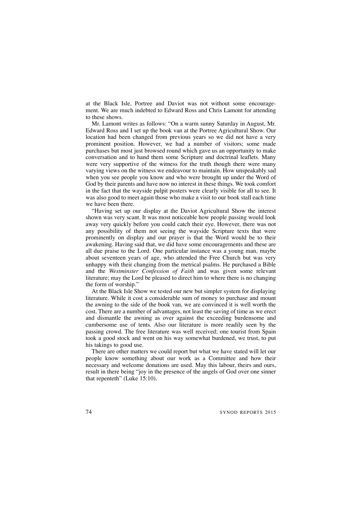at the Black Isle, Portree and Daviot was not without some encouragement. We are much indebted to Edward Ross and Chris Lamont for attending to these shows.

Mr. Lamont writes as follows: "On a warm sunny Saturday in August, Mr. Edward Ross and I set up the book van at the Portree Agricultural Show. Our location had been changed from previous years so we did not have a very prominent position. However, we had a number of visitors; some made purchases but most just browsed round which gave us an opportunity to make conversation and to hand them some Scripture and doctrinal leaflets. Many were very supportive of the witness for the truth though there were many varying views on the witness we endeavour to maintain. How unspeakably sad when you see people you know and who were brought up under the Word of God by their parents and have now no interest in these things. We took comfort in the fact that the wayside pulpit posters were clearly visible for all to see. It was also good to meet again those who make a visit to our book stall each time we have been there.

"Having set up our display at the Daviot Agricultural Show the interest shown was very scant. It was most noticeable how people passing would look away very quickly before you could catch their eye. However, there was not any possibility of them not seeing the wayside Scripture texts that were prominently on display and our prayer is that the Word would be to their awakening. Having said that, we did have some encouragements and these are all due praise to the Lord. One particular instance was a young man, maybe about seventeen years of age, who attended the Free Church but was very unhappy with their changing from the metrical psalms. He purchased a Bible and the *Westminster Confession of Faith* and was given some relevant literature; may the Lord be pleased to direct him to where there is no changing the form of worship."

At the Black Isle Show we tested our new but simpler system for displaying literature. While it cost a considerable sum of money to purchase and mount the awning to the side of the book van, we are convinced it is well worth the cost. There are a number of advantages, not least the saving of time as we erect and dismantle the awning as over against the exceeding burdensome and cumbersome use of tents. Also our literature is more readily seen by the passing crowd. The free literature was well received; one tourist from Spain took a good stock and went on his way somewhat burdened, we trust, to put his takings to good use.

There are other matters we could report but what we have stated will let our people know something about our work as a Committee and how their necessary and welcome donations are used. May this labour, theirs and ours, result in there being "joy in the presence of the angels of God over one sinner that repenteth" (Luke 15:10).

74 SYNOD REPORTS 2015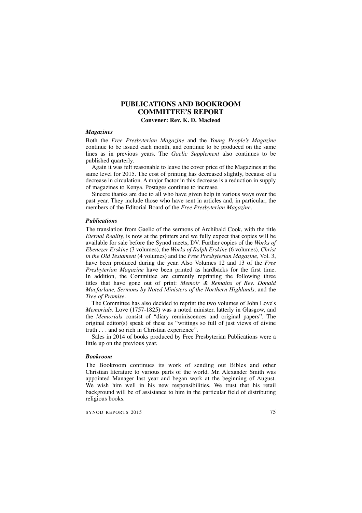# **PUBLICATIONS AND BOOKROOM COMMITTEE'S REPORT**

**Convener: Rev. K. D. Macleod**

### *Magazines*

Both the *Free Presbyterian Magazine* and the *Young People's Magazine* continue to be issued each month, and continue to be produced on the same lines as in previous years. The *Gaelic Supplement* also continues to be published quarterly.

Again it was felt reasonable to leave the cover price of the Magazines at the same level for 2015. The cost of printing has decreased slightly, because of a decrease in circulation. A major factor in this decrease is a reduction in supply of magazines to Kenya. Postages continue to increase.

Sincere thanks are due to all who have given help in various ways over the past year. They include those who have sent in articles and, in particular, the members of the Editorial Board of the *Free Presbyterian Magazine.*

#### *Publications*

The translation from Gaelic of the sermons of Archibald Cook, with the title *Eternal Reality,* is now at the printers and we fully expect that copies will be available for sale before the Synod meets, DV. Further copies of the *Works of Ebenezer Erskine* (3 volumes), the *Works of Ralph Erskine* (6 volumes), *Christ in the Old Testament* (4 volumes) and the *Free Presbyterian Magazine*, Vol. 3, have been produced during the year. Also Volumes 12 and 13 of the *Free Presbyterian Magazine* have been printed as hardbacks for the first time. In addition, the Committee are currently reprinting the following three titles that have gone out of print: *Memoir & Remains of Rev. Donald Macfarlane, Sermons by Noted Ministers of the Northern Highlands,* and the *Tree of Promise.*

The Committee has also decided to reprint the two volumes of John Love's *Memorials.* Love (1757-1825) was a noted minister, latterly in Glasgow, and the *Memorials* consist of "diary reminiscences and original papers". The original editor(s) speak of these as "writings so full of just views of divine truth . . . and so rich in Christian experience".

Sales in 2014 of books produced by Free Presbyterian Publications were a little up on the previous year.

#### *Bookroom*

The Bookroom continues its work of sending out Bibles and other Christian literature to various parts of the world. Mr. Alexander Smith was appointed Manager last year and began work at the beginning of August. We wish him well in his new responsibilities. We trust that his retail background will be of assistance to him in the particular field of distributing religious books.

SYNOD REPORTS 2015 75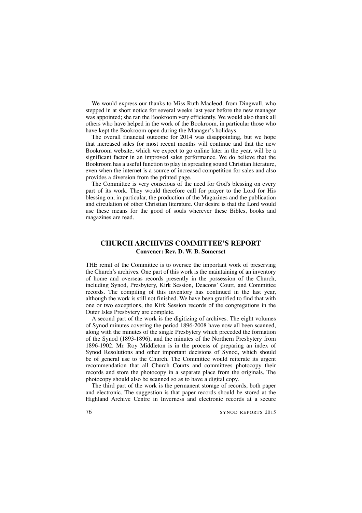We would express our thanks to Miss Ruth Macleod, from Dingwall, who stepped in at short notice for several weeks last year before the new manager was appointed; she ran the Bookroom very efficiently. We would also thank all others who have helped in the work of the Bookroom, in particular those who have kept the Bookroom open during the Manager's holidays.

The overall financial outcome for 2014 was disappointing, but we hope that increased sales for most recent months will continue and that the new Bookroom website, which we expect to go online later in the year, will be a significant factor in an improved sales performance. We do believe that the Bookroom has a useful function to play in spreading sound Christian literature, even when the internet is a source of increased competition for sales and also provides a diversion from the printed page.

The Committee is very conscious of the need for God's blessing on every part of its work. They would therefore call for prayer to the Lord for His blessing on, in particular, the production of the Magazines and the publication and circulation of other Christian literature. Our desire is that the Lord would use these means for the good of souls wherever these Bibles, books and magazines are read.

## **CHURCH ARCHIVES COMMITTEE'S REPORT Convener: Rev. D. W. B. Somerset**

THE remit of the Committee is to oversee the important work of preserving the Church's archives. One part of this work is the maintaining of an inventory of home and overseas records presently in the possession of the Church, including Synod, Presbytery, Kirk Session, Deacons' Court, and Committee records. The compiling of this inventory has continued in the last year, although the work is still not finished. We have been gratified to find that with one or two exceptions, the Kirk Session records of the congregations in the Outer Isles Presbytery are complete.

A second part of the work is the digitizing of archives. The eight volumes of Synod minutes covering the period 1896-2008 have now all been scanned, along with the minutes of the single Presbytery which preceded the formation of the Synod (1893-1896), and the minutes of the Northern Presbytery from 1896-1902. Mr. Roy Middleton is in the process of preparing an index of Synod Resolutions and other important decisions of Synod, which should be of general use to the Church. The Committee would reiterate its urgent recommendation that all Church Courts and committees photocopy their records and store the photocopy in a separate place from the originals. The photocopy should also be scanned so as to have a digital copy.

The third part of the work is the permanent storage of records, both paper and electronic. The suggestion is that paper records should be stored at the Highland Archive Centre in Inverness and electronic records at a secure

76 SYNOD REPORTS 2015